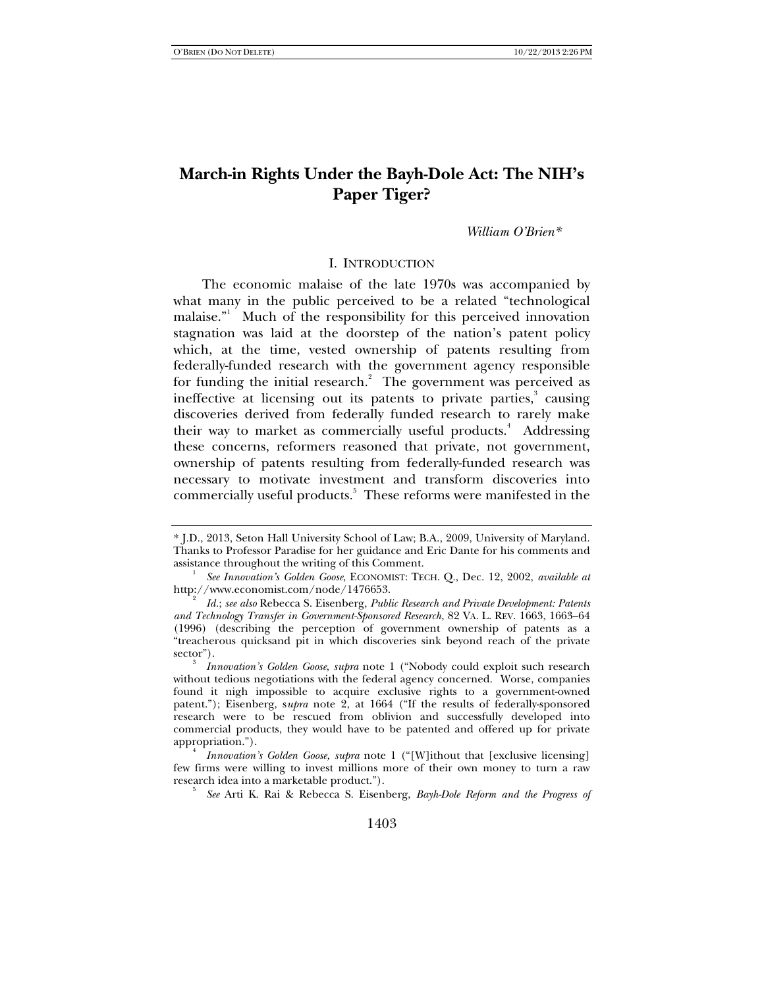# **March-in Rights Under the Bayh-Dole Act: The NIH's Paper Tiger?**

*William O'Brien\** 

#### I. INTRODUCTION

The economic malaise of the late 1970s was accompanied by what many in the public perceived to be a related "technological malaise." Much of the responsibility for this perceived innovation stagnation was laid at the doorstep of the nation's patent policy which, at the time, vested ownership of patents resulting from federally-funded research with the government agency responsible for funding the initial research. $^2$  The government was perceived as ineffective at licensing out its patents to private parties,<sup>3</sup> causing discoveries derived from federally funded research to rarely make their way to market as commercially useful products.<sup>4</sup> Addressing these concerns, reformers reasoned that private, not government, ownership of patents resulting from federally-funded research was necessary to motivate investment and transform discoveries into commercially useful products.<sup>5</sup> These reforms were manifested in the

*See* Arti K. Rai & Rebecca S. Eisenberg, *Bayh-Dole Reform and the Progress of* 

<sup>\*</sup> J.D., 2013, Seton Hall University School of Law; B.A., 2009, University of Maryland. Thanks to Professor Paradise for her guidance and Eric Dante for his comments and assistance throughout the writing of this Comment. 1

*See Innovation's Golden Goose*, ECONOMIST: TECH. Q., Dec. 12, 2002, *available at* http://www.economist.com/node/1476653. 2

*Id.*; *see also* Rebecca S. Eisenberg, *Public Research and Private Development: Patents and Technology Transfer in Government-Sponsored Research*, 82 VA. L. REV. 1663, 1663–64 (1996) (describing the perception of government ownership of patents as a "treacherous quicksand pit in which discoveries sink beyond reach of the private sector").

*Innovation's Golden Goose*, *supra* note 1 ("Nobody could exploit such research without tedious negotiations with the federal agency concerned. Worse, companies found it nigh impossible to acquire exclusive rights to a government-owned patent."); Eisenberg, supra note 2, at 1664 ("If the results of federally-sponsored research were to be rescued from oblivion and successfully developed into commercial products, they would have to be patented and offered up for private appropriation."). 4

*Innovation's Golden Goose, supra* note 1 ("[W]ithout that [exclusive licensing] few firms were willing to invest millions more of their own money to turn a raw research idea into a marketable product."). 5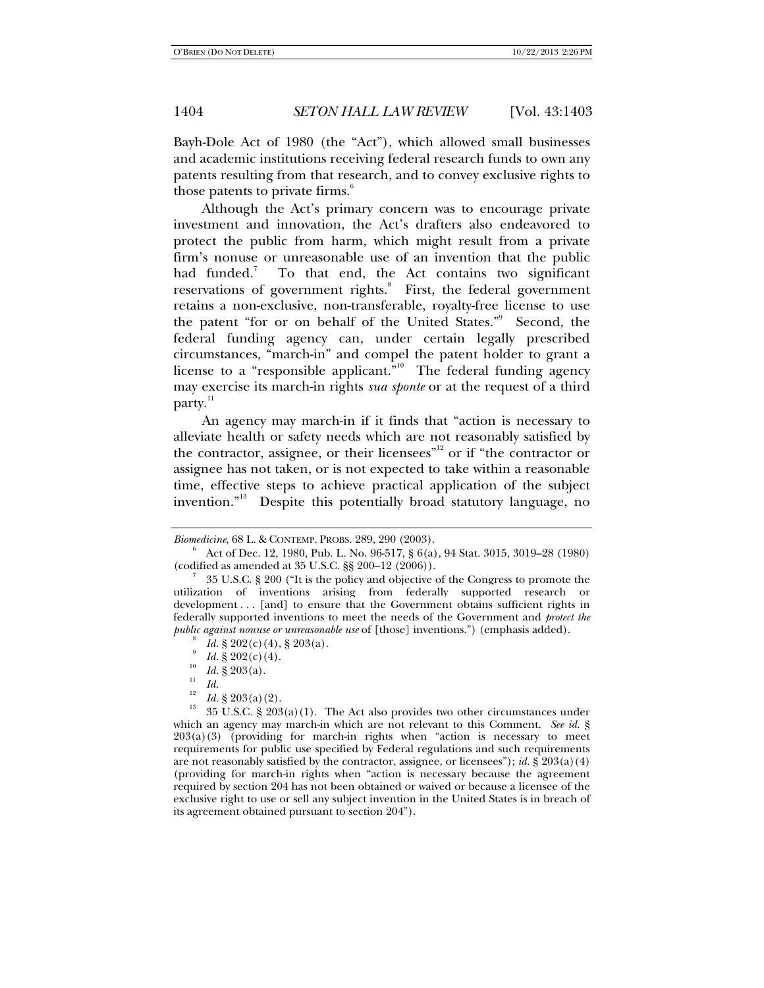Bayh-Dole Act of 1980 (the "Act"), which allowed small businesses and academic institutions receiving federal research funds to own any patents resulting from that research, and to convey exclusive rights to those patents to private firms.<sup>6</sup>

Although the Act's primary concern was to encourage private investment and innovation, the Act's drafters also endeavored to protect the public from harm, which might result from a private firm's nonuse or unreasonable use of an invention that the public had funded.<sup>7</sup> To that end, the Act contains two significant reservations of government rights.<sup>8</sup> First, the federal government retains a non-exclusive, non-transferable, royalty-free license to use the patent "for or on behalf of the United States."9 Second, the federal funding agency can, under certain legally prescribed circumstances, "march-in" and compel the patent holder to grant a license to a "responsible applicant."<sup>10</sup> The federal funding agency may exercise its march-in rights *sua sponte* or at the request of a third party.<sup>11</sup>

An agency may march-in if it finds that "action is necessary to alleviate health or safety needs which are not reasonably satisfied by the contractor, assignee, or their licensees"<sup>12</sup> or if "the contractor or assignee has not taken, or is not expected to take within a reasonable time, effective steps to achieve practical application of the subject invention."<sup>13</sup> Despite this potentially broad statutory language, no

 $\begin{bmatrix} 10 & 10 & 0 & 0 & 0 \\ 11 & 16 & 0 & 0 & 0 \\ 12 & 16 & 0 & 0 & 0 \\ 13 & 16 & 0 & 0 & 0 \\ 14 & 0 & 0 & 0 & 0 \\ 0 & 0 & 0 & 0 & 0 \\ 0 & 0 & 0 & 0 & 0 \\ 0 & 0 & 0 & 0 & 0 \\ 0 & 0 & 0 & 0 & 0 \\ 0 & 0 & 0 & 0 & 0 \\ 0 & 0 & 0 & 0 & 0 \\ 0 & 0 & 0 & 0 & 0 \\ 0 & 0 & 0 & 0 & 0 \\ 0 & 0 & 0 &$ 

*Biomedicine*, 68 L. & CONTEMP. PROBS. 289, 290 (2003).

Act of Dec. 12, 1980, Pub. L. No. 96-517, § 6(a), 94 Stat. 3015, 3019–28 (1980) (codified as amended at 35 U.S.C. §§ 200–12 (2006)). 7

 <sup>35</sup> U.S.C. § 200 ("It is the policy and objective of the Congress to promote the utilization of inventions arising from federally supported research or development . . . [and] to ensure that the Government obtains sufficient rights in federally supported inventions to meet the needs of the Government and *protect the public against nonuse or unreasonable use* of [those] inventions.") (emphasis added).

 $\frac{1}{9}$  *Id.* § 202(c)(4), § 203(a).<br><sup>9</sup> *Id.* § 202(c)(4).

<sup>&</sup>lt;sup>13</sup> 35 U.S.C. § 203(a)(1). The Act also provides two other circumstances under which an agency may march-in which are not relevant to this Comment. *See id.* §  $203(a)(3)$  (providing for march-in rights when "action is necessary to meet requirements for public use specified by Federal regulations and such requirements are not reasonably satisfied by the contractor, assignee, or licensees"); *id.* § 203(a)(4) (providing for march-in rights when "action is necessary because the agreement required by section 204 has not been obtained or waived or because a licensee of the exclusive right to use or sell any subject invention in the United States is in breach of its agreement obtained pursuant to section 204").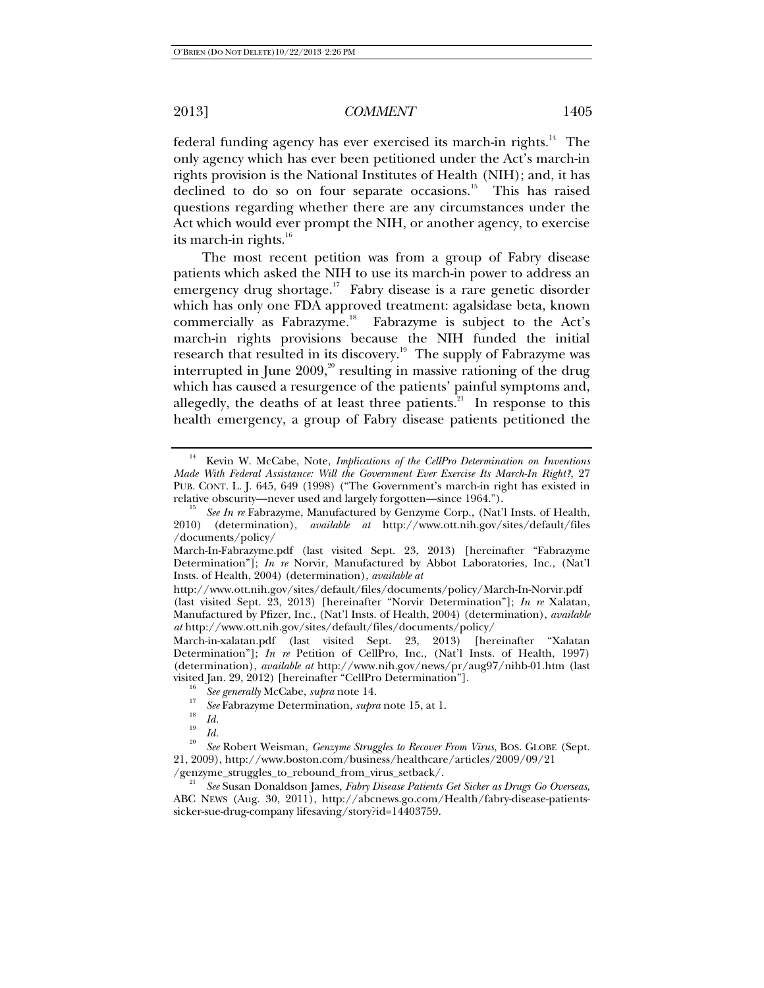federal funding agency has ever exercised its march-in rights.<sup>14</sup> The only agency which has ever been petitioned under the Act's march-in rights provision is the National Institutes of Health (NIH); and, it has declined to do so on four separate occasions.<sup>15</sup> This has raised questions regarding whether there are any circumstances under the Act which would ever prompt the NIH, or another agency, to exercise its march-in rights.<sup>16</sup>

The most recent petition was from a group of Fabry disease patients which asked the NIH to use its march-in power to address an emergency drug shortage.<sup>17</sup> Fabry disease is a rare genetic disorder which has only one FDA approved treatment: agalsidase beta, known commercially as Fabrazyme.18 Fabrazyme is subject to the Act's march-in rights provisions because the NIH funded the initial research that resulted in its discovery.<sup>19</sup> The supply of Fabrazyme was interrupted in June  $2009$ ,<sup>20</sup> resulting in massive rationing of the drug which has caused a resurgence of the patients' painful symptoms and, allegedly, the deaths of at least three patients. $21$  In response to this health emergency, a group of Fabry disease patients petitioned the

<sup>14</sup> Kevin W. McCabe, Note, *Implications of the CellPro Determination on Inventions Made With Federal Assistance: Will the Government Ever Exercise Its March-In Right?*, 27 PUB. CONT. L. J. 645, 649 (1998) ("The Government's march-in right has existed in relative obscurity—never used and largely forgotten—since 1964.").

*See In re* Fabrazyme, Manufactured by Genzyme Corp., (Nat'l Insts. of Health, 2010) (determination), *available at* http://www.ott.nih.gov/sites/default/files /documents/policy/

March-In-Fabrazyme.pdf (last visited Sept. 23, 2013) [hereinafter "Fabrazyme Determination"]; *In re* Norvir, Manufactured by Abbot Laboratories, Inc., (Nat'l Insts. of Health, 2004) (determination), *available at* 

http://www.ott.nih.gov/sites/default/files/documents/policy/March-In-Norvir.pdf (last visited Sept. 23, 2013) [hereinafter "Norvir Determination"]; *In re* Xalatan, Manufactured by Pfizer, Inc., (Nat'l Insts. of Health, 2004) (determination), *available at* http://www.ott.nih.gov/sites/default/files/documents/policy/

March-in-xalatan.pdf (last visited Sept. 23, 2013) [hereinafter "Xalatan Determination"]; *In re* Petition of CellPro, Inc., (Nat'l Insts. of Health, 1997) (determination), *available at* http://www.nih.gov/news/pr/aug97/nihb-01.htm (last visited Jan. 29, 2012) [hereinafter "CellPro Determination"].

<sup>&</sup>lt;sup>16</sup> See generally McCabe, *supra* note 14.

<sup>&</sup>lt;sup>17</sup> *See* Fabrazyme Determination, *supra* note 15, at 1.<br><sup>18</sup> *Id. Id.* 20 *Id.* 20 **Id.** 20 **ID.** 20 **ID.** 20 **C** 

*See* Robert Weisman, *Genzyme Struggles to Recover From Virus*, BOS. GLOBE (Sept. 21, 2009), http://www.boston.com/business/healthcare/articles/2009/09/21

<sup>/</sup>genzyme\_struggles\_to\_rebound\_from\_virus\_setback/. 21 *See* Susan Donaldson James, *Fabry Disease Patients Get Sicker as Drugs Go Overseas*, ABC NEWS (Aug. 30, 2011), http://abcnews.go.com/Health/fabry-disease-patientssicker-sue-drug-company lifesaving/story?id=14403759.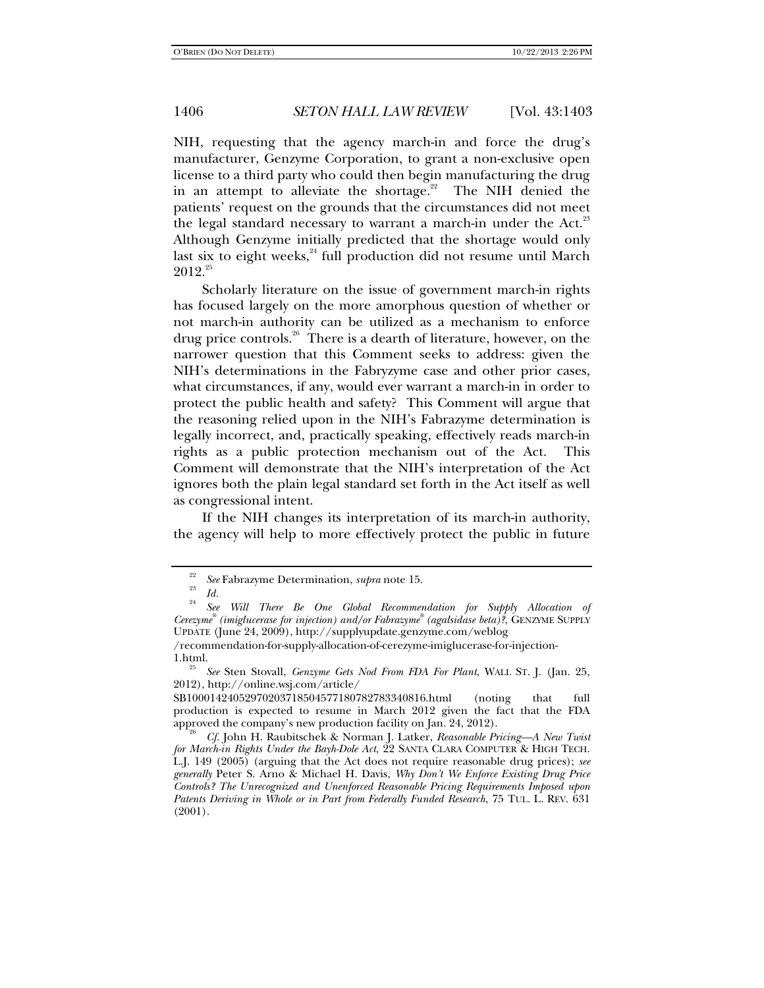NIH, requesting that the agency march-in and force the drug's manufacturer, Genzyme Corporation, to grant a non-exclusive open license to a third party who could then begin manufacturing the drug in an attempt to alleviate the shortage.<sup>22</sup> The NIH denied the patients' request on the grounds that the circumstances did not meet the legal standard necessary to warrant a march-in under the Act. $23$ Although Genzyme initially predicted that the shortage would only last six to eight weeks,<sup>24</sup> full production did not resume until March  $2012.<sup>25</sup>$ 

Scholarly literature on the issue of government march-in rights has focused largely on the more amorphous question of whether or not march-in authority can be utilized as a mechanism to enforce drug price controls.<sup>26</sup> There is a dearth of literature, however, on the narrower question that this Comment seeks to address: given the NIH's determinations in the Fabryzyme case and other prior cases, what circumstances, if any, would ever warrant a march-in in order to protect the public health and safety? This Comment will argue that the reasoning relied upon in the NIH's Fabrazyme determination is legally incorrect, and, practically speaking, effectively reads march-in rights as a public protection mechanism out of the Act. This Comment will demonstrate that the NIH's interpretation of the Act ignores both the plain legal standard set forth in the Act itself as well as congressional intent.

If the NIH changes its interpretation of its march-in authority, the agency will help to more effectively protect the public in future

<sup>22</sup> <sup>22</sup> *See* Fabrazyme Determination, *supra* note 15.<br><sup>23</sup> *Id.* 

*See Will There Be One Global Recommendation for Supply Allocation of Cerezyme® (imiglucerase for injection) and/or Fabrazyme® (agalsidase beta)?*, GENZYME SUPPLY UPDATE (June 24, 2009), http://supplyupdate.genzyme.com/weblog

<sup>/</sup>recommendation-for-supply-allocation-of-cerezyme-imiglucerase-for-injection- $1.html.$ 

*See* Sten Stovall, *Genzyme Gets Nod From FDA For Plant*, WALL ST. J. (Jan. 25, 2012), http://online.wsj.com/article/

SB10001424052970203718504577180782783340816.html (noting that full production is expected to resume in March 2012 given the fact that the FDA approved the company's new production facility on Jan. 24, 2012).

*Cf.* John H. Raubitschek & Norman J. Latker, *Reasonable Pricing—A New Twist for March-in Rights Under the Bayh-Dole Act*, 22 SANTA CLARA COMPUTER & HIGH TECH. L.J. 149 (2005) (arguing that the Act does not require reasonable drug prices); *see generally* Peter S. Arno & Michael H. Davis, *Why Don't We Enforce Existing Drug Price Controls? The Unrecognized and Unenforced Reasonable Pricing Requirements Imposed upon Patents Deriving in Whole or in Part from Federally Funded Research*, 75 TUL. L. REV. 631 (2001).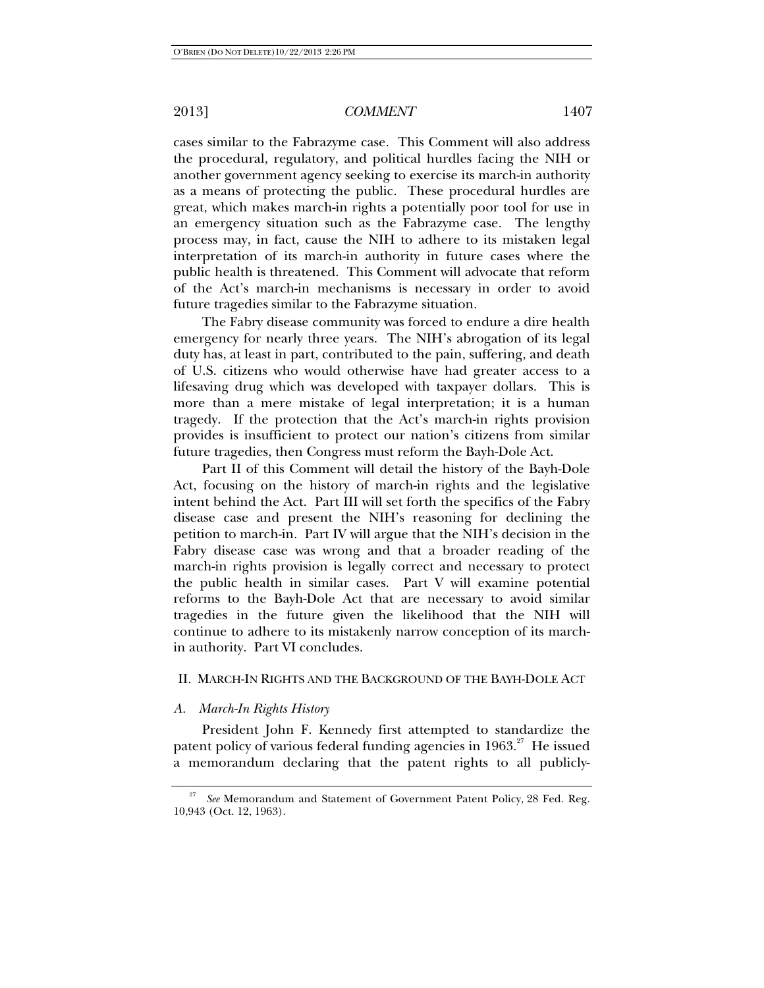cases similar to the Fabrazyme case. This Comment will also address the procedural, regulatory, and political hurdles facing the NIH or another government agency seeking to exercise its march-in authority as a means of protecting the public. These procedural hurdles are great, which makes march-in rights a potentially poor tool for use in an emergency situation such as the Fabrazyme case. The lengthy process may, in fact, cause the NIH to adhere to its mistaken legal interpretation of its march-in authority in future cases where the public health is threatened. This Comment will advocate that reform of the Act's march-in mechanisms is necessary in order to avoid future tragedies similar to the Fabrazyme situation.

The Fabry disease community was forced to endure a dire health emergency for nearly three years. The NIH's abrogation of its legal duty has, at least in part, contributed to the pain, suffering, and death of U.S. citizens who would otherwise have had greater access to a lifesaving drug which was developed with taxpayer dollars. This is more than a mere mistake of legal interpretation; it is a human tragedy. If the protection that the Act's march-in rights provision provides is insufficient to protect our nation's citizens from similar future tragedies, then Congress must reform the Bayh-Dole Act.

Part II of this Comment will detail the history of the Bayh-Dole Act, focusing on the history of march-in rights and the legislative intent behind the Act. Part III will set forth the specifics of the Fabry disease case and present the NIH's reasoning for declining the petition to march-in. Part IV will argue that the NIH's decision in the Fabry disease case was wrong and that a broader reading of the march-in rights provision is legally correct and necessary to protect the public health in similar cases. Part V will examine potential reforms to the Bayh-Dole Act that are necessary to avoid similar tragedies in the future given the likelihood that the NIH will continue to adhere to its mistakenly narrow conception of its marchin authority. Part VI concludes.

#### II. MARCH-IN RIGHTS AND THE BACKGROUND OF THE BAYH-DOLE ACT

#### *A. March-In Rights History*

President John F. Kennedy first attempted to standardize the patent policy of various federal funding agencies in  $1963$ .<sup>27</sup> He issued a memorandum declaring that the patent rights to all publicly-

See Memorandum and Statement of Government Patent Policy, 28 Fed. Reg. 10,943 (Oct. 12, 1963).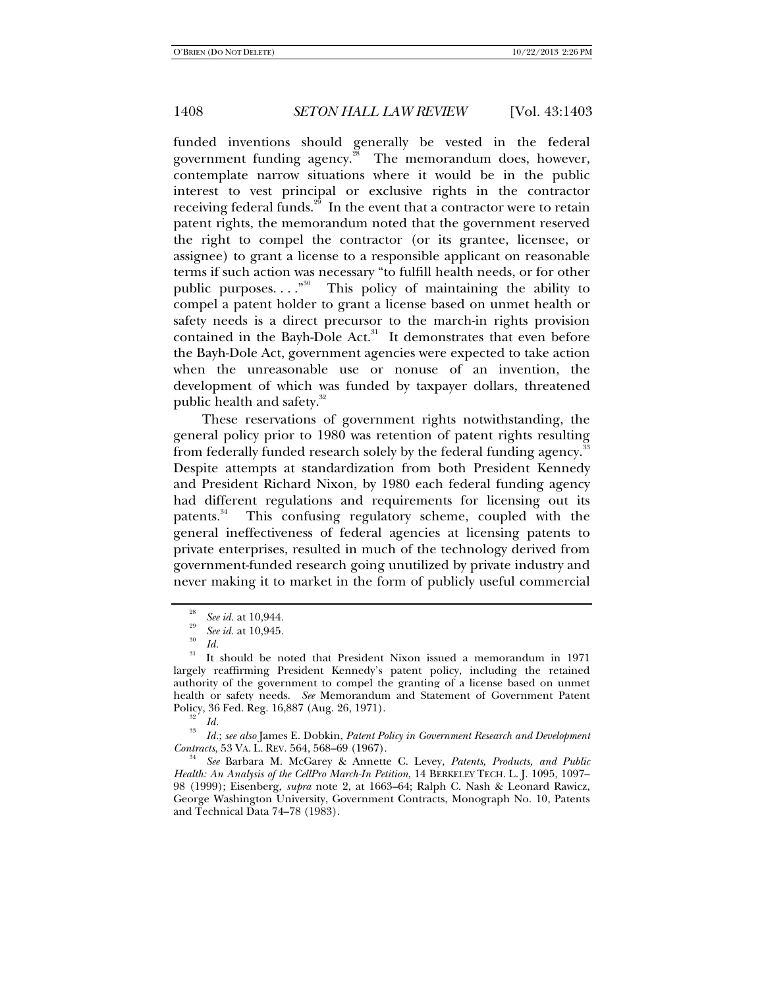funded inventions should generally be vested in the federal government funding agency. $28$  The memorandum does, however, contemplate narrow situations where it would be in the public interest to vest principal or exclusive rights in the contractor receiving federal funds.<sup>29</sup> In the event that a contractor were to retain patent rights, the memorandum noted that the government reserved the right to compel the contractor (or its grantee, licensee, or assignee) to grant a license to a responsible applicant on reasonable terms if such action was necessary "to fulfill health needs, or for other public purposes...."<sup>30</sup> This policy of maintaining the ability to compel a patent holder to grant a license based on unmet health or safety needs is a direct precursor to the march-in rights provision contained in the Bayh-Dole Act.<sup>31</sup> It demonstrates that even before the Bayh-Dole Act, government agencies were expected to take action when the unreasonable use or nonuse of an invention, the development of which was funded by taxpayer dollars, threatened public health and safety.<sup>32</sup>

These reservations of government rights notwithstanding, the general policy prior to 1980 was retention of patent rights resulting from federally funded research solely by the federal funding agency.<sup>33</sup> Despite attempts at standardization from both President Kennedy and President Richard Nixon, by 1980 each federal funding agency had different regulations and requirements for licensing out its patents.<sup>34</sup> This confusing regulatory scheme, coupled with the general ineffectiveness of federal agencies at licensing patents to private enterprises, resulted in much of the technology derived from government-funded research going unutilized by private industry and never making it to market in the form of publicly useful commercial

 *Id.*; *see also* James E. Dobkin, *Patent Policy in Government Research and Development Contracts*, 53 VA. L. REV. 564, 568-69 (1967).

 *See* Barbara M. McGarey & Annette C. Levey, *Patents, Products, and Public Health: An Analysis of the CellPro March-In Petition*, 14 BERKELEY TECH. L. J. 1095, 1097– 98 (1999); Eisenberg, *supra* note 2, at 1663–64; Ralph C. Nash & Leonard Rawicz, George Washington University, Government Contracts, Monograph No. 10, Patents and Technical Data 74–78 (1983).

<sup>28</sup> *See id.* at 10,944*.* <sup>29</sup>*See id.* at 10,945*.* <sup>30</sup>

<sup>&</sup>lt;sup>31</sup> It should be noted that President Nixon issued a memorandum in 1971 largely reaffirming President Kennedy's patent policy, including the retained authority of the government to compel the granting of a license based on unmet health or safety needs. *See* Memorandum and Statement of Government Patent Policy, 36 Fed. Reg. 16,887 (Aug. 26, 1971). 32

 $\frac{32}{33}$  *Id.*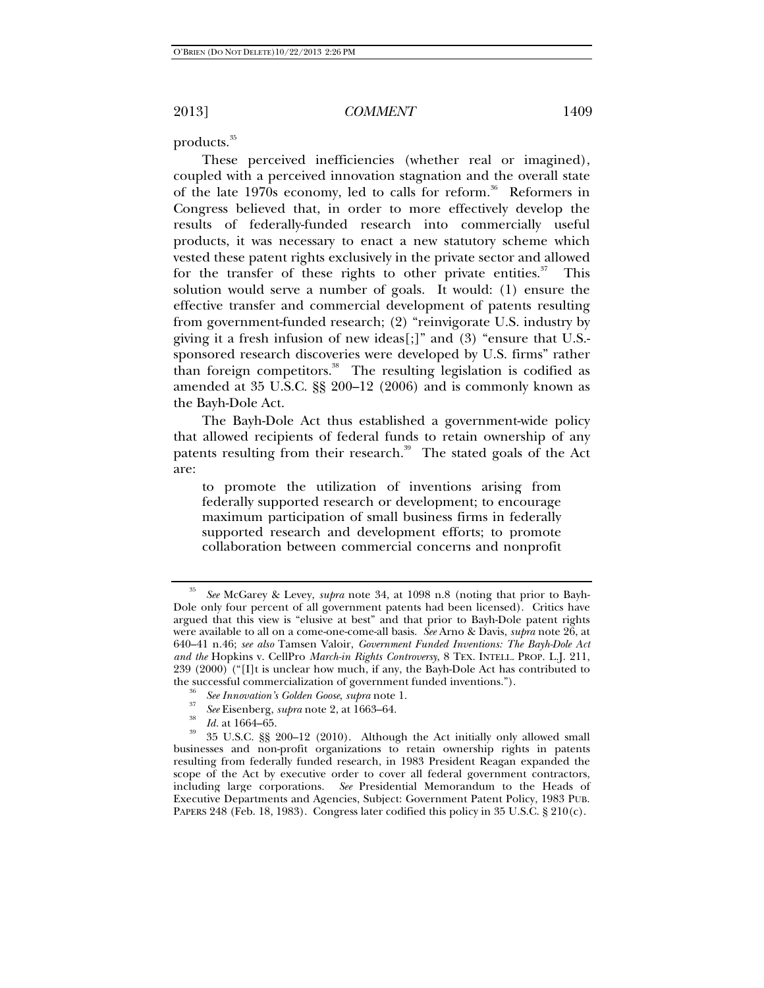products.<sup>35</sup>

These perceived inefficiencies (whether real or imagined), coupled with a perceived innovation stagnation and the overall state of the late 1970s economy, led to calls for reform.<sup>36</sup> Reformers in Congress believed that, in order to more effectively develop the results of federally-funded research into commercially useful products, it was necessary to enact a new statutory scheme which vested these patent rights exclusively in the private sector and allowed for the transfer of these rights to other private entities.<sup>37</sup> This solution would serve a number of goals. It would: (1) ensure the effective transfer and commercial development of patents resulting from government-funded research; (2) "reinvigorate U.S. industry by giving it a fresh infusion of new ideas[;]" and (3) "ensure that U.S. sponsored research discoveries were developed by U.S. firms" rather than foreign competitors.<sup>38</sup> The resulting legislation is codified as amended at 35 U.S.C. §§ 200–12 (2006) and is commonly known as the Bayh-Dole Act.

The Bayh-Dole Act thus established a government-wide policy that allowed recipients of federal funds to retain ownership of any patents resulting from their research.<sup>39</sup> The stated goals of the Act are:

to promote the utilization of inventions arising from federally supported research or development; to encourage maximum participation of small business firms in federally supported research and development efforts; to promote collaboration between commercial concerns and nonprofit

<sup>35</sup> *See* McGarey & Levey, *supra* note 34, at 1098 n.8 (noting that prior to Bayh-Dole only four percent of all government patents had been licensed). Critics have argued that this view is "elusive at best" and that prior to Bayh-Dole patent rights were available to all on a come-one-come-all basis. *See* Arno & Davis, *supra* note 26, at 640–41 n.46; *see also* Tamsen Valoir, *Government Funded Inventions: The Bayh-Dole Act and the* Hopkins v. CellPro *March-in Rights Controversy*, 8 TEX. INTELL. PROP. L.J. 211,  $239$   $(2000)$  ("[I]t is unclear how much, if any, the Bayh-Dole Act has contributed to the successful commercialization of government funded inventions.").

<sup>&</sup>lt;sup>36</sup> *See Innovation's Golden Goose, supra* note 1.<br><sup>37</sup> *See* Eisenberg, *supra* note 2, at 1663–64.

<sup>&</sup>lt;sup>38</sup> *Id.* at 1664–65. 39 35 U.S.C. §§ 200–12 (2010). Although the Act initially only allowed small businesses and non-profit organizations to retain ownership rights in patents resulting from federally funded research, in 1983 President Reagan expanded the scope of the Act by executive order to cover all federal government contractors, including large corporations. *See* Presidential Memorandum to the Heads of Executive Departments and Agencies, Subject: Government Patent Policy, 1983 PUB. PAPERS 248 (Feb. 18, 1983). Congress later codified this policy in 35 U.S.C. § 210(c).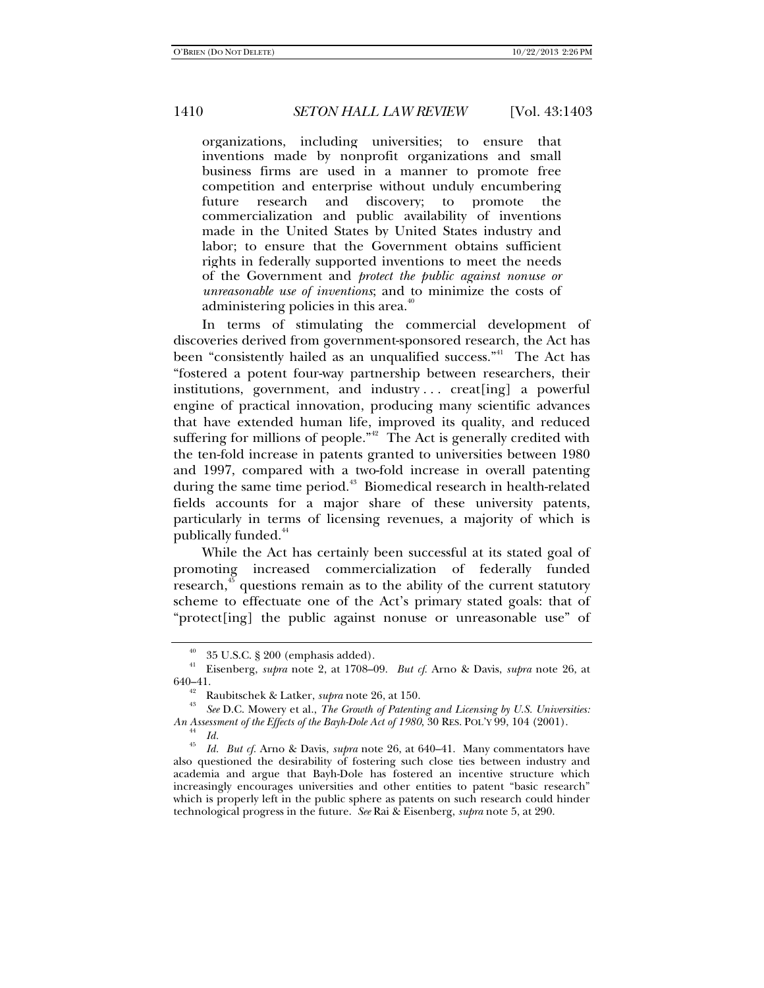organizations, including universities; to ensure that inventions made by nonprofit organizations and small business firms are used in a manner to promote free competition and enterprise without unduly encumbering future research and discovery; to promote the commercialization and public availability of inventions made in the United States by United States industry and labor; to ensure that the Government obtains sufficient rights in federally supported inventions to meet the needs of the Government and *protect the public against nonuse or unreasonable use of inventions*; and to minimize the costs of administering policies in this area. $40^{\circ}$ 

In terms of stimulating the commercial development of discoveries derived from government-sponsored research, the Act has been "consistently hailed as an unqualified success."<sup>41</sup> The Act has "fostered a potent four-way partnership between researchers, their institutions, government, and industry . . . creat[ing] a powerful engine of practical innovation, producing many scientific advances that have extended human life, improved its quality, and reduced suffering for millions of people." $2^2$  The Act is generally credited with the ten-fold increase in patents granted to universities between 1980 and 1997, compared with a two-fold increase in overall patenting during the same time period.<sup>43</sup> Biomedical research in health-related fields accounts for a major share of these university patents, particularly in terms of licensing revenues, a majority of which is publically funded.<sup>44</sup>

While the Act has certainly been successful at its stated goal of promoting increased commercialization of federally funded research, $45$  questions remain as to the ability of the current statutory scheme to effectuate one of the Act's primary stated goals: that of "protect[ing] the public against nonuse or unreasonable use" of

<sup>40 35</sup> U.S.C. § 200 (emphasis added).

<sup>41</sup> Eisenberg, *supra* note 2, at 1708–09. *But cf.* Arno & Davis, *supra* note 26, at 640–41. 42 Raubitschek & Latker, *supra* note 26, at 150. 43

<sup>&</sup>lt;sup>43</sup> *See* D.C. Mowery et al., *The Growth of Patenting and Licensing by U.S. Universities: An Assessment of the Effects of the Bayh-Dole Act of 1980*, 30 RES. POL'Y 99, 104 (2001).<br><sup>44</sup> *Id.* 

*Id.* <sup>45</sup>*Id. But cf.* Arno & Davis, *supra* note 26, at 640–41. Many commentators have also questioned the desirability of fostering such close ties between industry and academia and argue that Bayh-Dole has fostered an incentive structure which increasingly encourages universities and other entities to patent "basic research" which is properly left in the public sphere as patents on such research could hinder technological progress in the future. *See* Rai & Eisenberg, *supra* note 5, at 290.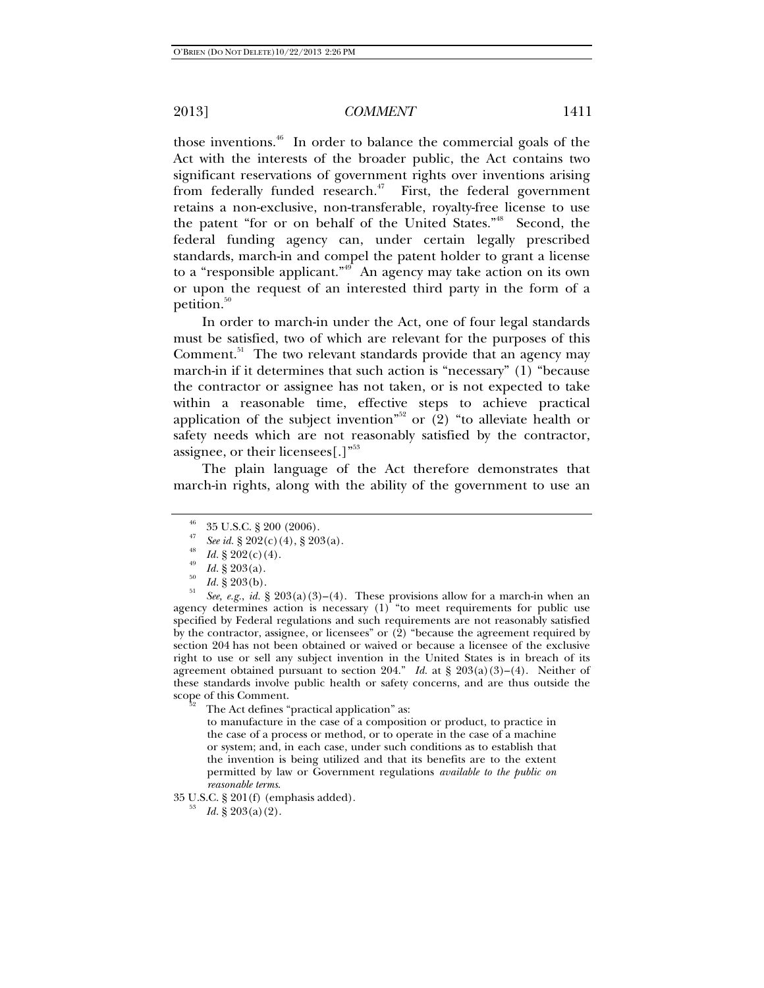those inventions.<sup>46</sup> In order to balance the commercial goals of the Act with the interests of the broader public, the Act contains two significant reservations of government rights over inventions arising from federally funded research.<sup> $47$ </sup> First, the federal government retains a non-exclusive, non-transferable, royalty-free license to use the patent "for or on behalf of the United States."<sup>48</sup> Second, the federal funding agency can, under certain legally prescribed standards, march-in and compel the patent holder to grant a license to a "responsible applicant."<sup>49</sup> An agency may take action on its own or upon the request of an interested third party in the form of a petition. $50$ 

In order to march-in under the Act, one of four legal standards must be satisfied, two of which are relevant for the purposes of this Comment. $51$  The two relevant standards provide that an agency may march-in if it determines that such action is "necessary" (1) "because the contractor or assignee has not taken, or is not expected to take within a reasonable time, effective steps to achieve practical application of the subject invention"<sup>52</sup> or  $(2)$  "to alleviate health or safety needs which are not reasonably satisfied by the contractor, assignee, or their licensees[.] $\mathbb{S}^3$ 

The plain language of the Act therefore demonstrates that march-in rights, along with the ability of the government to use an

*See, e.g., id.* § 203(a)(3)–(4). These provisions allow for a march-in when an agency determines action is necessary (1) "to meet requirements for public use specified by Federal regulations and such requirements are not reasonably satisfied by the contractor, assignee, or licensees" or (2) "because the agreement required by section 204 has not been obtained or waived or because a licensee of the exclusive right to use or sell any subject invention in the United States is in breach of its agreement obtained pursuant to section 204." *Id.* at § 203(a)(3)–(4). Neither of these standards involve public health or safety concerns, and are thus outside the scope of this Comment.<br><sup>52</sup> The Act defines "practical application" as:

to manufacture in the case of a composition or product, to practice in the case of a process or method, or to operate in the case of a machine or system; and, in each case, under such conditions as to establish that the invention is being utilized and that its benefits are to the extent permitted by law or Government regulations *available to the public on reasonable terms*.

35 U.S.C. § 201(f) (emphasis added). 53

*Id.* § 203(a)(2).

 $^{46}$  35 U.S.C. § 200 (2006).

*See id.* § 202(c)(4), § 203(a).

<sup>&</sup>lt;sup>48</sup> *Id.* § 202(c)(4).<br>
<sup>49</sup> *Id.* § 203(a).<br> *Id.* § 203(b).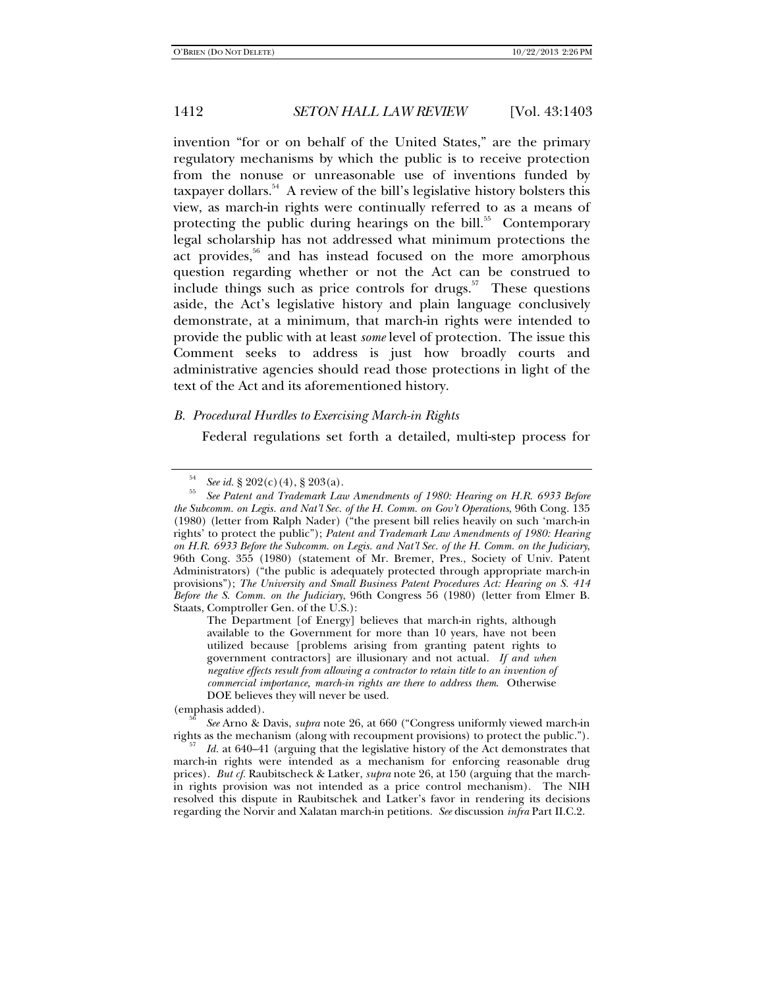invention "for or on behalf of the United States," are the primary regulatory mechanisms by which the public is to receive protection from the nonuse or unreasonable use of inventions funded by taxpayer dollars.<sup>54</sup> A review of the bill's legislative history bolsters this view, as march-in rights were continually referred to as a means of protecting the public during hearings on the bill.<sup>55</sup> Contemporary legal scholarship has not addressed what minimum protections the act provides,<sup>56</sup> and has instead focused on the more amorphous question regarding whether or not the Act can be construed to include things such as price controls for drugs.<sup>57</sup> These questions aside, the Act's legislative history and plain language conclusively demonstrate, at a minimum, that march-in rights were intended to provide the public with at least *some* level of protection. The issue this Comment seeks to address is just how broadly courts and administrative agencies should read those protections in light of the text of the Act and its aforementioned history.

#### *B. Procedural Hurdles to Exercising March-in Rights*

Federal regulations set forth a detailed, multi-step process for

The Department [of Energy] believes that march-in rights, although available to the Government for more than 10 years, have not been utilized because [problems arising from granting patent rights to government contractors] are illusionary and not actual. *If and when negative effects result from allowing a contractor to retain title to an invention of commercial importance, march-in rights are there to address them*. Otherwise DOE believes they will never be used.

(emphasis added). <sup>56</sup>*See* Arno & Davis, *supra* note 26, at 660 ("Congress uniformly viewed march-in rights as the mechanism (along with recoupment provisions) to protect the public."). 57 *Id.* at 640–41 (arguing that the legislative history of the Act demonstrates that

march-in rights were intended as a mechanism for enforcing reasonable drug prices). *But cf.* Raubitscheck & Latker, *supra* note 26, at 150 (arguing that the marchin rights provision was not intended as a price control mechanism). The NIH resolved this dispute in Raubitschek and Latker's favor in rendering its decisions regarding the Norvir and Xalatan march-in petitions. *See* discussion *infra* Part II.C.2.

<sup>54</sup>

*See id.* § 202(c)(4), § 203(a). 55 *See Patent and Trademark Law Amendments of 1980: Hearing on H.R. 6933 Before the Subcomm. on Legis. and Nat'l Sec. of the H. Comm. on Gov't Operations*, 96th Cong. 135 (1980) (letter from Ralph Nader) ("the present bill relies heavily on such 'march-in rights' to protect the public"); *Patent and Trademark Law Amendments of 1980: Hearing on H.R. 6933 Before the Subcomm. on Legis. and Nat'l Sec. of the H. Comm. on the Judiciary*, 96th Cong. 355 (1980) (statement of Mr. Bremer, Pres., Society of Univ. Patent Administrators) ("the public is adequately protected through appropriate march-in provisions"); *The University and Small Business Patent Procedures Act: Hearing on S. 414 Before the S. Comm. on the Judiciary*, 96th Congress 56 (1980) (letter from Elmer B. Staats, Comptroller Gen. of the U.S.):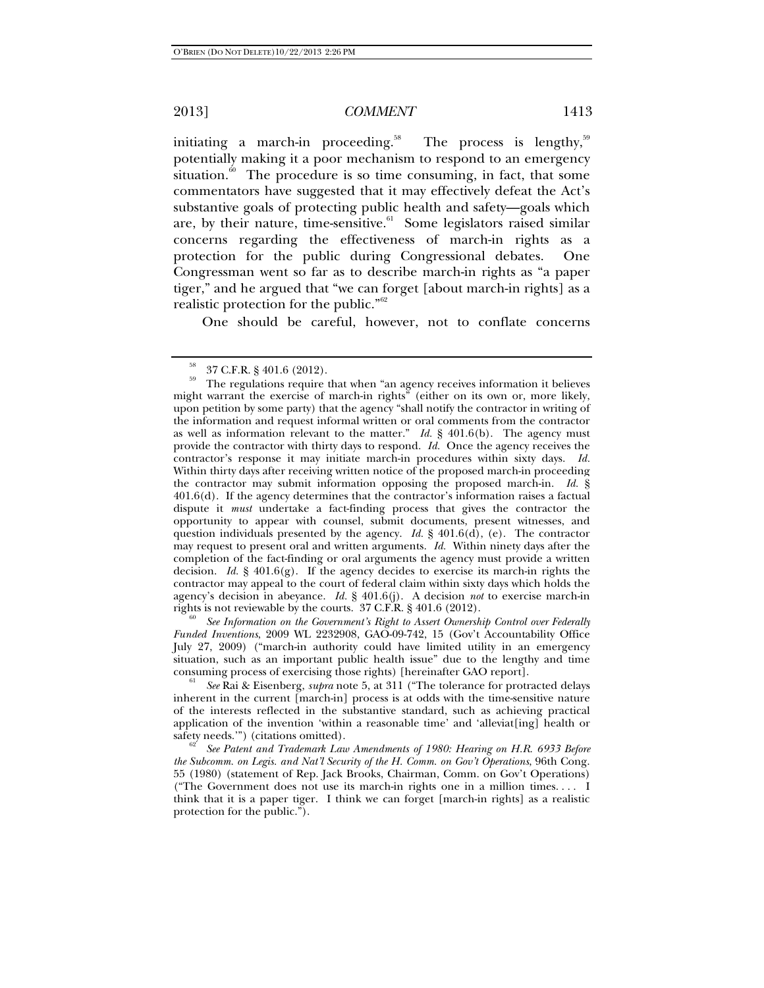initiating a march-in proceeding.<sup>58</sup> The process is lengthy,<sup>59</sup> potentially making it a poor mechanism to respond to an emergency situation.<sup>60</sup> The procedure is so time consuming, in fact, that some commentators have suggested that it may effectively defeat the Act's substantive goals of protecting public health and safety—goals which are, by their nature, time-sensitive.<sup>61</sup> Some legislators raised similar concerns regarding the effectiveness of march-in rights as a protection for the public during Congressional debates. One Congressman went so far as to describe march-in rights as "a paper tiger," and he argued that "we can forget [about march-in rights] as a realistic protection for the public."<sup>62</sup>

One should be careful, however, not to conflate concerns

 *See Information on the Government's Right to Assert Ownership Control over Federally Funded Inventions*, 2009 WL 2232908, GAO-09-742, 15 (Gov't Accountability Office July 27, 2009) ("march-in authority could have limited utility in an emergency situation, such as an important public health issue" due to the lengthy and time consuming process of exercising those rights) [hereinafter GAO report].

See Rai & Eisenberg, *supra* note 5, at 311 ("The tolerance for protracted delays inherent in the current [march-in] process is at odds with the time-sensitive nature of the interests reflected in the substantive standard, such as achieving practical application of the invention 'within a reasonable time' and 'alleviat[ing] health or safety needs.") (citations omitted).

See Patent and Trademark Law Amendments of 1980: Hearing on H.R. 6933 Before *the Subcomm. on Legis. and Nat'l Security of the H. Comm. on Gov't Operations*, 96th Cong. 55 (1980) (statement of Rep. Jack Brooks, Chairman, Comm. on Gov't Operations) ("The Government does not use its march-in rights one in a million times. . . . I think that it is a paper tiger. I think we can forget [march-in rights] as a realistic protection for the public.").

 $^{58}$  37 C.F.R. § 401.6 (2012).

The regulations require that when "an agency receives information it believes might warrant the exercise of march-in rights" (either on its own or, more likely, upon petition by some party) that the agency "shall notify the contractor in writing of the information and request informal written or oral comments from the contractor as well as information relevant to the matter." *Id.* § 401.6(b).The agency must provide the contractor with thirty days to respond. *Id.* Once the agency receives the contractor's response it may initiate march-in procedures within sixty days. *Id.* Within thirty days after receiving written notice of the proposed march-in proceeding the contractor may submit information opposing the proposed march-in. *Id.* § 401.6(d). If the agency determines that the contractor's information raises a factual dispute it *must* undertake a fact-finding process that gives the contractor the opportunity to appear with counsel, submit documents, present witnesses, and question individuals presented by the agency. *Id.* § 401.6(d), (e). The contractor may request to present oral and written arguments. *Id.* Within ninety days after the completion of the fact-finding or oral arguments the agency must provide a written decision. *Id.*  $\S$  401.6(g). If the agency decides to exercise its march-in rights the contractor may appeal to the court of federal claim within sixty days which holds the agency's decision in abeyance. *Id.* § 401.6(j).A decision *not* to exercise march-in rights is not reviewable by the courts.  $37$  C.F.R.  $\S$   $401.6$   $(2012)$ .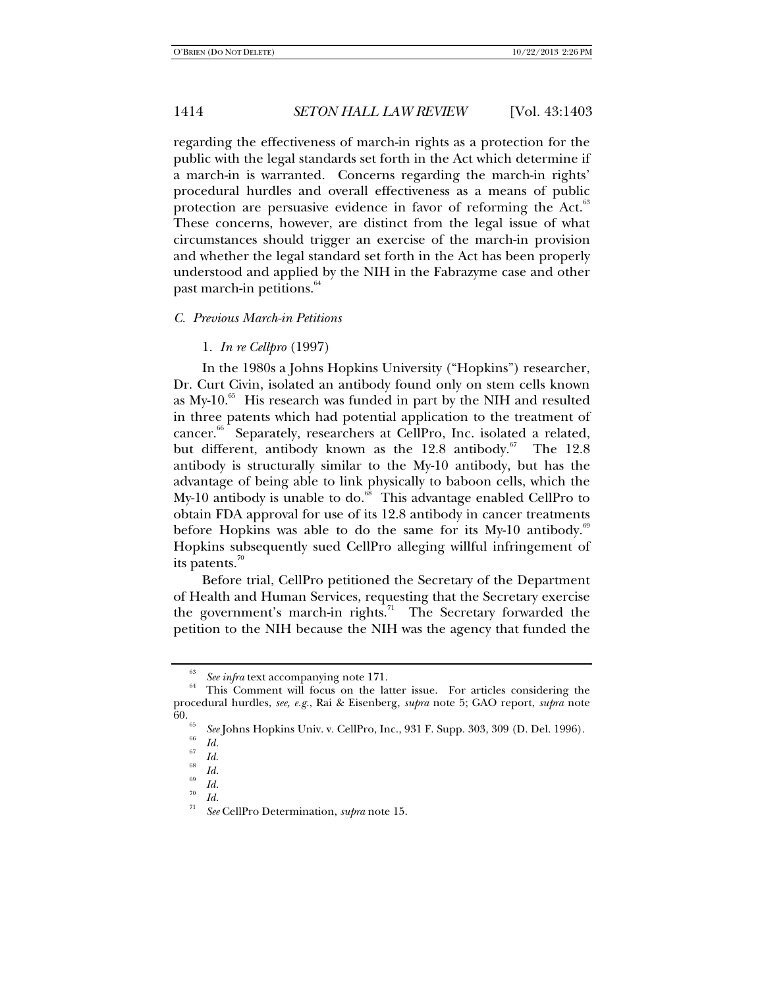regarding the effectiveness of march-in rights as a protection for the public with the legal standards set forth in the Act which determine if a march-in is warranted. Concerns regarding the march-in rights' procedural hurdles and overall effectiveness as a means of public protection are persuasive evidence in favor of reforming the Act.<sup>63</sup> These concerns, however, are distinct from the legal issue of what circumstances should trigger an exercise of the march-in provision and whether the legal standard set forth in the Act has been properly understood and applied by the NIH in the Fabrazyme case and other past march-in petitions.<sup>64</sup>

#### *C. Previous March-in Petitions*

#### 1. *In re Cellpro* (1997)

In the 1980s a Johns Hopkins University ("Hopkins") researcher, Dr. Curt Civin, isolated an antibody found only on stem cells known as  $My-10.<sup>65</sup>$  His research was funded in part by the NIH and resulted in three patents which had potential application to the treatment of cancer.<sup>66</sup> Separately, researchers at CellPro, Inc. isolated a related, but different, antibody known as the  $12.8$  antibody.<sup>67</sup> The  $12.8$ antibody is structurally similar to the My-10 antibody, but has the advantage of being able to link physically to baboon cells, which the My-10 antibody is unable to do. $68$  This advantage enabled CellPro to obtain FDA approval for use of its 12.8 antibody in cancer treatments before Hopkins was able to do the same for its My-10 antibody.<sup>69</sup> Hopkins subsequently sued CellPro alleging willful infringement of its patents.<sup>70</sup>

Before trial, CellPro petitioned the Secretary of the Department of Health and Human Services, requesting that the Secretary exercise the government's march-in rights.<sup>71</sup> The Secretary forwarded the petition to the NIH because the NIH was the agency that funded the

<sup>&</sup>lt;sup>63</sup> See infra text accompanying note 171.<br><sup>64</sup> This Comment will focus on the latter issue. For articles considering the procedural hurdles, *see, e.g.*, Rai & Eisenberg, *supra* note 5; GAO report, *supra* note

<sup>60.&</sup>lt;br><sup>65</sup> *See* Johns Hopkins Univ. v. CellPro, Inc., 931 F. Supp. 303, 309 (D. Del. 1996).<br>*<sup>66</sup> Id.* 

<sup>&</sup>lt;sup>67</sup> *Id.*<br><sup>68</sup> *Id.*<br><sup>69</sup> *Id.* 

 $\frac{70}{71}$  *Id.* 

*See* CellPro Determination, *supra* note 15.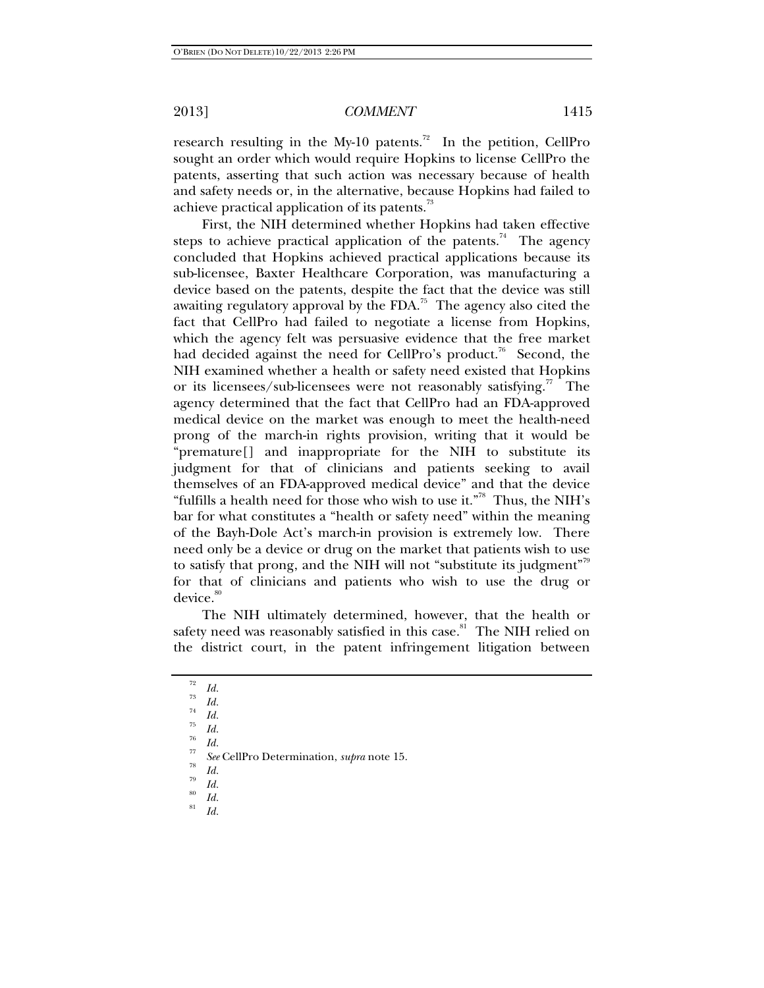research resulting in the My-10 patents.<sup>72</sup> In the petition, CellPro sought an order which would require Hopkins to license CellPro the patents, asserting that such action was necessary because of health and safety needs or, in the alternative, because Hopkins had failed to achieve practical application of its patents.<sup>73</sup>

First, the NIH determined whether Hopkins had taken effective steps to achieve practical application of the patents.<sup>74</sup> The agency concluded that Hopkins achieved practical applications because its sub-licensee, Baxter Healthcare Corporation, was manufacturing a device based on the patents, despite the fact that the device was still awaiting regulatory approval by the FDA.<sup>75</sup> The agency also cited the fact that CellPro had failed to negotiate a license from Hopkins, which the agency felt was persuasive evidence that the free market had decided against the need for CellPro's product.<sup>76</sup> Second, the NIH examined whether a health or safety need existed that Hopkins or its licensees/sub-licensees were not reasonably satisfying.<sup>77</sup> The agency determined that the fact that CellPro had an FDA-approved medical device on the market was enough to meet the health-need prong of the march-in rights provision, writing that it would be "premature[] and inappropriate for the NIH to substitute its judgment for that of clinicians and patients seeking to avail themselves of an FDA-approved medical device" and that the device "fulfills a health need for those who wish to use it."78 Thus, the NIH's bar for what constitutes a "health or safety need" within the meaning of the Bayh-Dole Act's march-in provision is extremely low. There need only be a device or drug on the market that patients wish to use to satisfy that prong, and the NIH will not "substitute its judgment"<sup>79</sup> for that of clinicians and patients who wish to use the drug or device.<sup>80</sup>

The NIH ultimately determined, however, that the health or safety need was reasonably satisfied in this case.<sup>81</sup> The NIH relied on the district court, in the patent infringement litigation between

<sup>72</sup>  $\frac{72}{73}$  *Id. Id.* 

<sup>&</sup>lt;sup>74</sup> *Id.*<br><sup>75</sup> *Id.*<br><sup>76</sup> *Id.* 

*Id.* <sup>77</sup>*See* CellPro Determination, *supra* note 15. 78 *Id.* <sup>79</sup>

 $\frac{1}{81}$  *Id. Id.*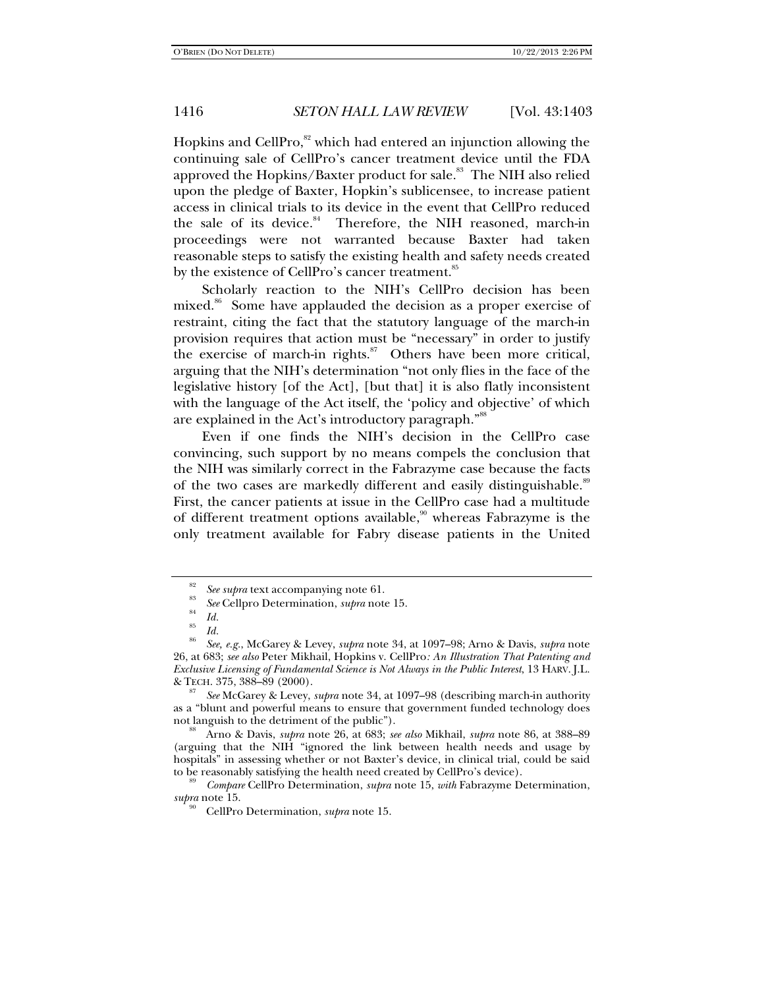Hopkins and CellPro, $82$  which had entered an injunction allowing the continuing sale of CellPro's cancer treatment device until the FDA approved the Hopkins/Baxter product for sale. $83$  The NIH also relied upon the pledge of Baxter, Hopkin's sublicensee, to increase patient access in clinical trials to its device in the event that CellPro reduced the sale of its device.<sup>84</sup> Therefore, the NIH reasoned, march-in proceedings were not warranted because Baxter had taken reasonable steps to satisfy the existing health and safety needs created by the existence of CellPro's cancer treatment.<sup>85</sup>

Scholarly reaction to the NIH's CellPro decision has been mixed.<sup>86</sup> Some have applauded the decision as a proper exercise of restraint, citing the fact that the statutory language of the march-in provision requires that action must be "necessary" in order to justify the exercise of march-in rights. $87$  Others have been more critical, arguing that the NIH's determination "not only flies in the face of the legislative history [of the Act], [but that] it is also flatly inconsistent with the language of the Act itself, the 'policy and objective' of which are explained in the Act's introductory paragraph."<sup>8</sup>

Even if one finds the NIH's decision in the CellPro case convincing, such support by no means compels the conclusion that the NIH was similarly correct in the Fabrazyme case because the facts of the two cases are markedly different and easily distinguishable.<sup>89</sup> First, the cancer patients at issue in the CellPro case had a multitude of different treatment options available,<sup>90</sup> whereas Fabrazyme is the only treatment available for Fabry disease patients in the United

 *See* McGarey & Levey, *supra* note 34, at 1097–98 (describing march-in authority as a "blunt and powerful means to ensure that government funded technology does not languish to the detriment of the public").

Arno & Davis, *supra* note 26, at 683; *see also* Mikhail, *supra* note 86, at 388–89 (arguing that the NIH "ignored the link between health needs and usage by hospitals" in assessing whether or not Baxter's device, in clinical trial, could be said to be reasonably satisfying the health need created by CellPro's device).

*Compare* CellPro Determination, *supra* note 15, *with* Fabrazyme Determination,

*supra* note 15. 90 CellPro Determination, *supra* note 15.

<sup>&</sup>lt;sup>82</sup> See supra text accompanying note 61.<br><sup>83</sup> See Cellpro Determination, *supra* note 15.<br><sup>84</sup> Id

 $\frac{1}{86}$  *Id.* 

*See, e.g.*, McGarey & Levey, *supra* note 34, at 1097–98; Arno & Davis, *supra* note 26, at 683; *see also* Peter Mikhail, Hopkins v. CellPro*: An Illustration That Patenting and Exclusive Licensing of Fundamental Science is Not Always in the Public Interest*, 13 HARV. J.L. & TECH. 375, 388–89 (2000). 87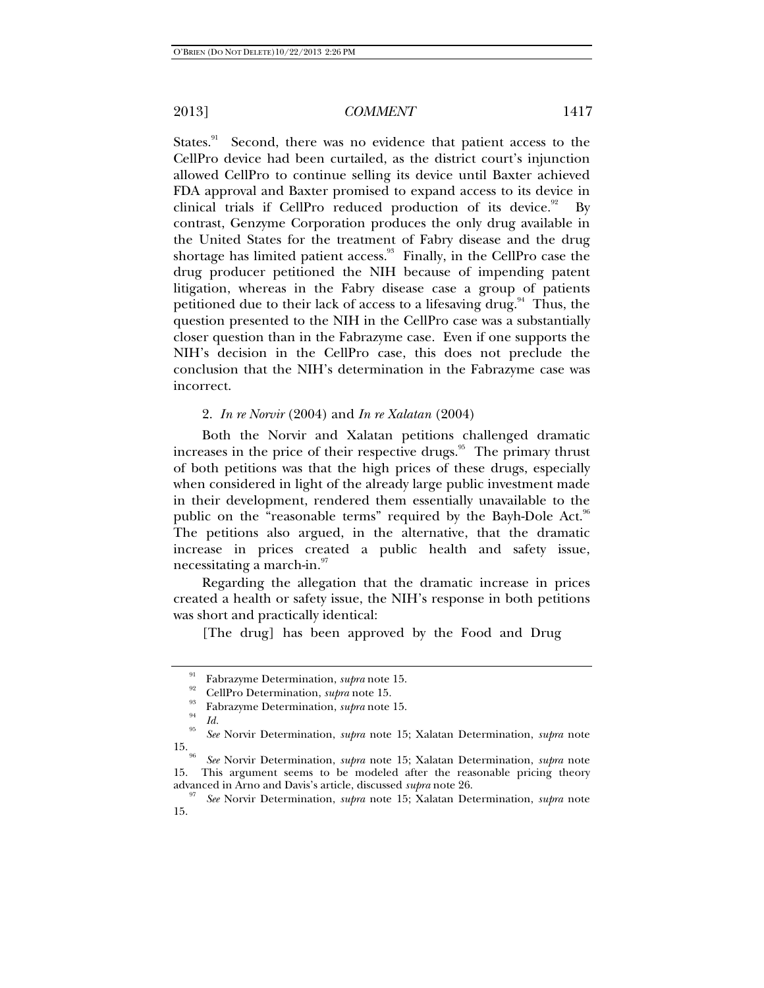States.<sup>91</sup> Second, there was no evidence that patient access to the CellPro device had been curtailed, as the district court's injunction allowed CellPro to continue selling its device until Baxter achieved FDA approval and Baxter promised to expand access to its device in clinical trials if CellPro reduced production of its device.<sup>92</sup> By contrast, Genzyme Corporation produces the only drug available in the United States for the treatment of Fabry disease and the drug shortage has limited patient access.<sup>93</sup> Finally, in the CellPro case the drug producer petitioned the NIH because of impending patent litigation, whereas in the Fabry disease case a group of patients petitioned due to their lack of access to a lifesaving drug. $94$  Thus, the question presented to the NIH in the CellPro case was a substantially closer question than in the Fabrazyme case. Even if one supports the NIH's decision in the CellPro case, this does not preclude the conclusion that the NIH's determination in the Fabrazyme case was incorrect.

#### 2. *In re Norvir* (2004) and *In re Xalatan* (2004)

Both the Norvir and Xalatan petitions challenged dramatic increases in the price of their respective drugs.<sup>95</sup> The primary thrust of both petitions was that the high prices of these drugs, especially when considered in light of the already large public investment made in their development, rendered them essentially unavailable to the public on the "reasonable terms" required by the Bayh-Dole Act.<sup>96</sup> The petitions also argued, in the alternative, that the dramatic increase in prices created a public health and safety issue, necessitating a march-in.<sup>97</sup>

Regarding the allegation that the dramatic increase in prices created a health or safety issue, the NIH's response in both petitions was short and practically identical:

[The drug] has been approved by the Food and Drug

<sup>&</sup>lt;sup>91</sup> Fabrazyme Determination, *supra* note 15.<br><sup>92</sup> CellPro Determination, *supra* note 15.<br><sup>94</sup> Id.

*Id.* 95 *See* Norvir Determination, *supra* note 15; Xalatan Determination, *supra* note

<sup>15. 96</sup> *See* Norvir Determination, *supra* note 15; Xalatan Determination, *supra* note This argument seems to be modeled after the reasonable pricing theory advanced in Arno and Davis's article, discussed *supra* note 26. 97 *See* Norvir Determination, *supra* note 15; Xalatan Determination, *supra* note

<sup>15.</sup>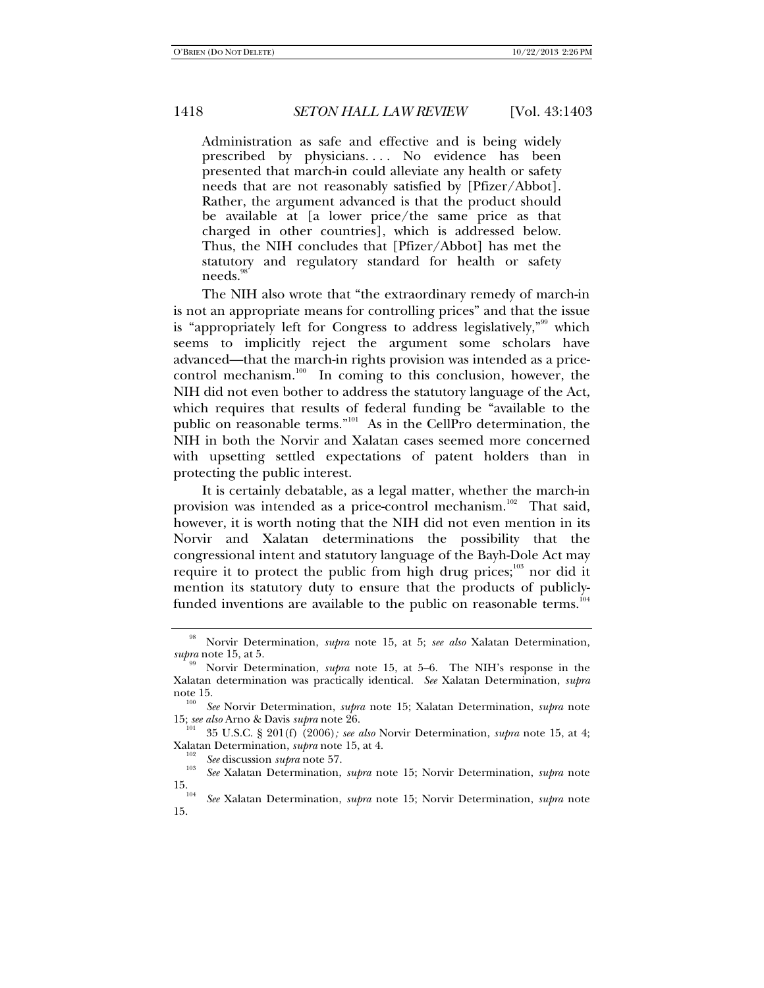Administration as safe and effective and is being widely prescribed by physicians. . . . No evidence has been presented that march-in could alleviate any health or safety needs that are not reasonably satisfied by [Pfizer/Abbot]. Rather, the argument advanced is that the product should be available at [a lower price/the same price as that charged in other countries], which is addressed below. Thus, the NIH concludes that [Pfizer/Abbot] has met the statutory and regulatory standard for health or safety needs.

The NIH also wrote that "the extraordinary remedy of march-in is not an appropriate means for controlling prices" and that the issue is "appropriately left for Congress to address legislatively,"<sup>99</sup> which seems to implicitly reject the argument some scholars have advanced—that the march-in rights provision was intended as a pricecontrol mechanism.<sup>100</sup> In coming to this conclusion, however, the NIH did not even bother to address the statutory language of the Act, which requires that results of federal funding be "available to the public on reasonable terms."101 As in the CellPro determination, the NIH in both the Norvir and Xalatan cases seemed more concerned with upsetting settled expectations of patent holders than in protecting the public interest.

It is certainly debatable, as a legal matter, whether the march-in provision was intended as a price-control mechanism.<sup>102</sup> That said, however, it is worth noting that the NIH did not even mention in its Norvir and Xalatan determinations the possibility that the congressional intent and statutory language of the Bayh-Dole Act may require it to protect the public from high drug prices; $103$  nor did it mention its statutory duty to ensure that the products of publiclyfunded inventions are available to the public on reasonable terms. $^{104}$ 

<sup>98</sup> Norvir Determination, *supra* note 15, at 5; *see also* Xalatan Determination,

*Norvir Determination, <i>supra* note 15, at 5–6. The NIH's response in the Xalatan determination was practically identical. *See* Xalatan Determination, *supra* note 15.

*See* Norvir Determination, *supra* note 15; Xalatan Determination, *supra* note 15; *see also* Arno & Davis *supra* note 26. 101 35 U.S.C. § 201(f) (2006)*; see also* Norvir Determination, *supra* note 15, at 4;

Xalatan Determination, *supra* note 15, at 4.

<sup>&</sup>lt;sup>102</sup> *See* discussion *supra* note 57.

*See* Xalatan Determination, *supra* note 15; Norvir Determination, *supra* note 15.

<sup>15. 104</sup> *See* Xalatan Determination, *supra* note 15; Norvir Determination, *supra* note 15.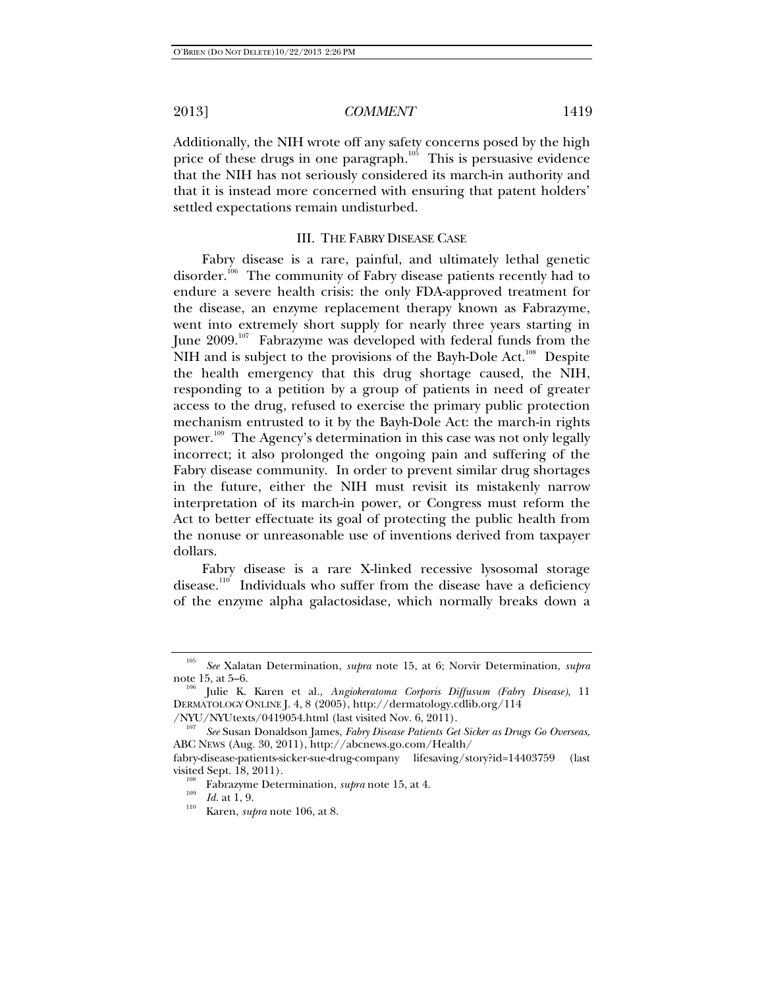Additionally, the NIH wrote off any safety concerns posed by the high price of these drugs in one paragraph.<sup>105</sup> This is persuasive evidence that the NIH has not seriously considered its march-in authority and that it is instead more concerned with ensuring that patent holders' settled expectations remain undisturbed.

#### III. THE FABRY DISEASE CASE

Fabry disease is a rare, painful, and ultimately lethal genetic disorder.<sup>106</sup> The community of Fabry disease patients recently had to endure a severe health crisis: the only FDA-approved treatment for the disease, an enzyme replacement therapy known as Fabrazyme, went into extremely short supply for nearly three years starting in June  $2009$ <sup>107</sup> Fabrazyme was developed with federal funds from the NIH and is subject to the provisions of the Bayh-Dole Act.<sup>108</sup> Despite the health emergency that this drug shortage caused, the NIH, responding to a petition by a group of patients in need of greater access to the drug, refused to exercise the primary public protection mechanism entrusted to it by the Bayh-Dole Act: the march-in rights power.<sup>109</sup> The Agency's determination in this case was not only legally incorrect; it also prolonged the ongoing pain and suffering of the Fabry disease community. In order to prevent similar drug shortages in the future, either the NIH must revisit its mistakenly narrow interpretation of its march-in power, or Congress must reform the Act to better effectuate its goal of protecting the public health from the nonuse or unreasonable use of inventions derived from taxpayer dollars.

Fabry disease is a rare X-linked recessive lysosomal storage disease.<sup>110</sup> Individuals who suffer from the disease have a deficiency of the enzyme alpha galactosidase, which normally breaks down a

<sup>105</sup> *See* Xalatan Determination, *supra* note 15, at 6; Norvir Determination, *supra* note 15, at 5–6. 106 Julie K. Karen et al., *Angiokeratoma Corporis Diffusum (Fabry Disease)*, 11

DERMATOLOGY ONLINE J. 4, 8 (2005), http://dermatology.cdlib.org/114

<sup>/</sup>NYU/NYUtexts/0419054.html (last visited Nov. 6, 2011).

*See* Susan Donaldson James, *Fabry Disease Patients Get Sicker as Drugs Go Overseas*, ABC NEWS (Aug. 30, 2011), http://abcnews.go.com/Health/

fabry-disease-patients-sicker-sue-drug-company lifesaving/story?id=14403759 (last visited Sept. 18, 2011).<br><sup>108</sup> Fabrazyme Determination, *supra* note 15, at 4.<br><sup>109</sup> *Id.* at 1, 9.<br>Karen, *supra* note 106, at 8.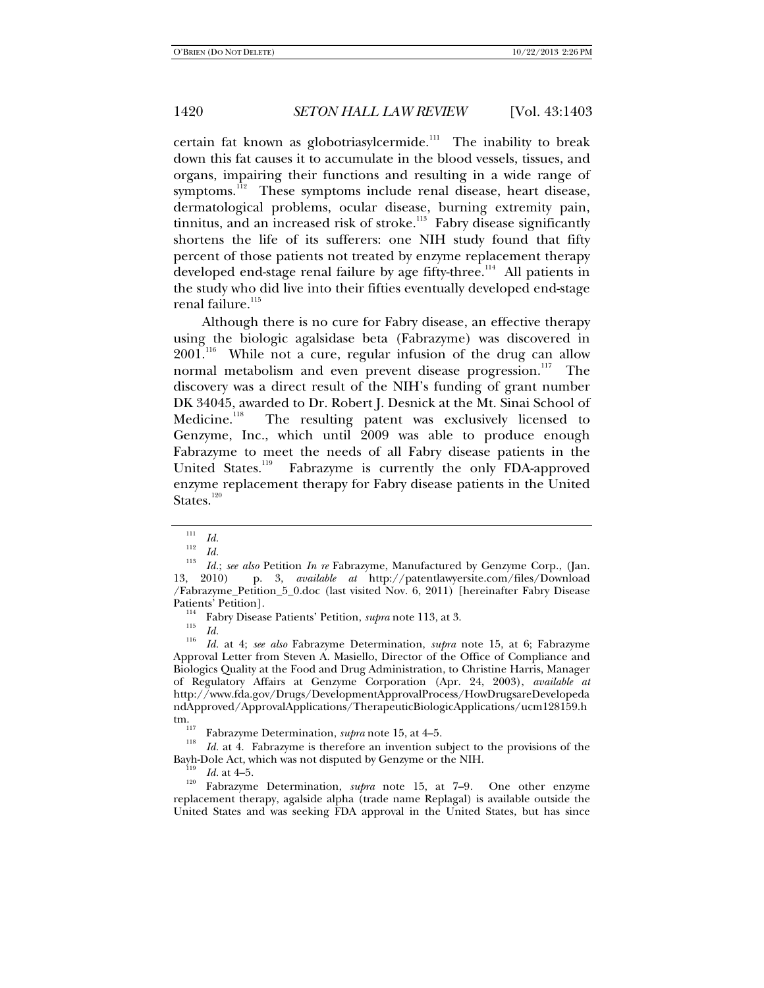certain fat known as globotriasylcermide.<sup>111</sup> The inability to break down this fat causes it to accumulate in the blood vessels, tissues, and organs, impairing their functions and resulting in a wide range of symptoms.<sup>112</sup> These symptoms include renal disease, heart disease, dermatological problems, ocular disease, burning extremity pain, tinnitus, and an increased risk of stroke.<sup>113</sup> Fabry disease significantly shortens the life of its sufferers: one NIH study found that fifty percent of those patients not treated by enzyme replacement therapy developed end-stage renal failure by age fifty-three.<sup>114</sup> All patients in the study who did live into their fifties eventually developed end-stage renal failure.<sup>115</sup>

Although there is no cure for Fabry disease, an effective therapy using the biologic agalsidase beta (Fabrazyme) was discovered in  $2001$ .<sup>116</sup> While not a cure, regular infusion of the drug can allow normal metabolism and even prevent disease progression.<sup>117</sup> The discovery was a direct result of the NIH's funding of grant number DK 34045, awarded to Dr. Robert J. Desnick at the Mt. Sinai School of Medicine.<sup>118</sup> The resulting patent was exclusively licensed to Genzyme, Inc., which until 2009 was able to produce enough Fabrazyme to meet the needs of all Fabry disease patients in the United States.<sup>119</sup> Fabrazyme is currently the only FDA-approved Fabrazyme is currently the only FDA-approved enzyme replacement therapy for Fabry disease patients in the United States.<sup>120</sup>

Patients' Petition, *supra* note 113, at 3.<br> *Id.* 116 *Id.* 116 **Id.** 116 **Id.** 116 **Id.** 116 **Id.** 116 **Id.** 116 **Id.** 116 **Id.** 116 **Id.** 116 **Id.** 116 **Id.** 127 **Id.** 127 **Id.** 127 **Id.** 127 **Id.** 127 **Id.** 127 **Id.** 1

 *Id.* at 4; *see also* Fabrazyme Determination, *supra* note 15, at 6; Fabrazyme Approval Letter from Steven A. Masiello, Director of the Office of Compliance and Biologics Quality at the Food and Drug Administration, to Christine Harris, Manager of Regulatory Affairs at Genzyme Corporation (Apr. 24, 2003), *available at* http://www.fda.gov/Drugs/DevelopmentApprovalProcess/HowDrugsareDevelopeda ndApproved/ApprovalApplications/TherapeuticBiologicApplications/ucm128159.h

tm.<br>
<sup>117</sup> Fabrazyme Determination, *supra* note 15, at 4–5.

 *Id.* at 4. Fabrazyme is therefore an invention subject to the provisions of the Bayh-Dole Act, which was not disputed by Genzyme or the NIH.<br> $\frac{119}{119}$  Id. at 4–5.

<sup>120</sup> Fabrazyme Determination, *supra* note 15, at 7–9. One other enzyme replacement therapy, agalside alpha (trade name Replagal) is available outside the United States and was seeking FDA approval in the United States, but has since

<sup>111</sup>  $\frac{111}{112}$  *Id.* 

 $\frac{112}{113}$  *Id.* 

*Id.*; *see also* Petition *In re* Fabrazyme, Manufactured by Genzyme Corp., (Jan. 13, 2010) p. 3, *available at* http://patentlawyersite.com/files/Download /Fabrazyme\_Petition\_5\_0.doc (last visited Nov. 6, 2011) [hereinafter Fabry Disease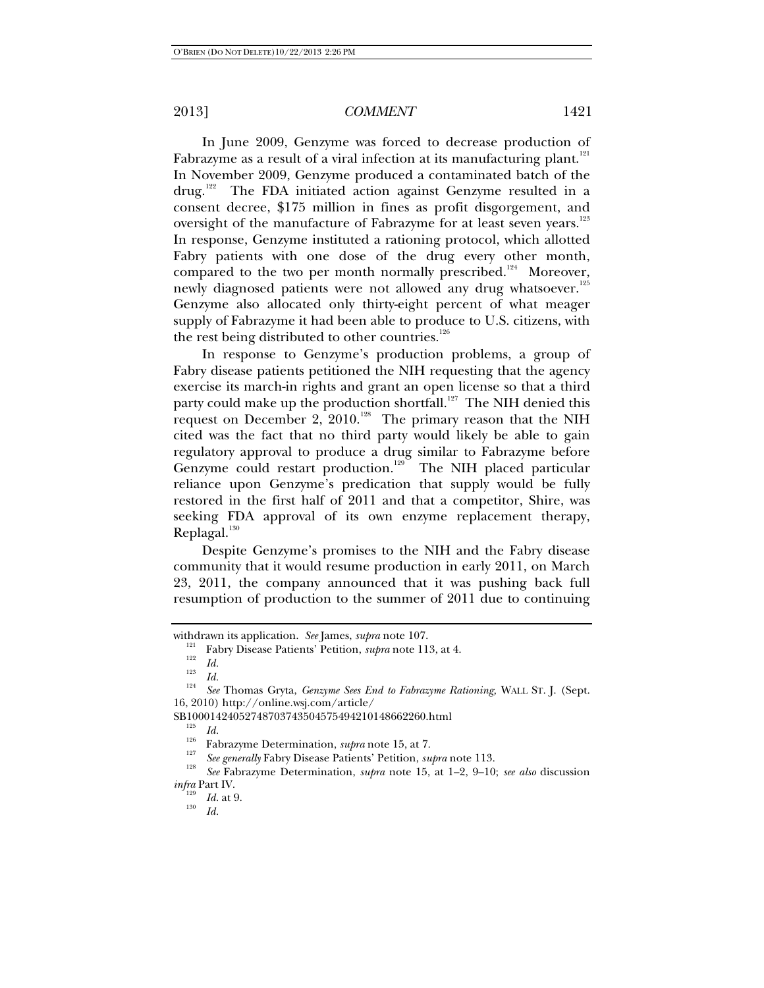In June 2009, Genzyme was forced to decrease production of Fabrazyme as a result of a viral infection at its manufacturing plant.<sup>121</sup> In November 2009, Genzyme produced a contaminated batch of the drug.122 The FDA initiated action against Genzyme resulted in a consent decree, \$175 million in fines as profit disgorgement, and oversight of the manufacture of Fabrazyme for at least seven years.<sup>123</sup> In response, Genzyme instituted a rationing protocol, which allotted Fabry patients with one dose of the drug every other month, compared to the two per month normally prescribed.<sup>124</sup> Moreover, newly diagnosed patients were not allowed any drug whatsoever.<sup>125</sup> Genzyme also allocated only thirty-eight percent of what meager supply of Fabrazyme it had been able to produce to U.S. citizens, with the rest being distributed to other countries. $126$ 

In response to Genzyme's production problems, a group of Fabry disease patients petitioned the NIH requesting that the agency exercise its march-in rights and grant an open license so that a third party could make up the production shortfall.<sup>127</sup> The NIH denied this request on December 2,  $2010$ <sup>128</sup> The primary reason that the NIH cited was the fact that no third party would likely be able to gain regulatory approval to produce a drug similar to Fabrazyme before Genzyme could restart production.<sup>129</sup> The NIH placed particular reliance upon Genzyme's predication that supply would be fully restored in the first half of 2011 and that a competitor, Shire, was seeking FDA approval of its own enzyme replacement therapy, Replagal.<sup>130</sup>

Despite Genzyme's promises to the NIH and the Fabry disease community that it would resume production in early 2011, on March 23, 2011, the company announced that it was pushing back full resumption of production to the summer of 2011 due to continuing

 $\frac{123}{124}$  *Id.* 

withdrawn its application. *See* James, *supra* note 107.<br><sup>121</sup> Fabry Disease Patients' Petition, *supra* note 113, at 4.<br>*122 Id.* 

*See* Thomas Gryta, *Genzyme Sees End to Fabrazyme Rationing,* WALL ST. J. (Sept. 16, 2010) http://online.wsj.com/article/

SB10001424052748703743504575494210148662260.html<br><sup>125</sup> *Id.* Fabrazyme Determination, *supra* note 15, at 7.<br><sup>126</sup> *See generally* Fabry Disease Patients' Petition, *supra* note 113.

<sup>&</sup>lt;sup>128</sup> *See* Fabrazyme Determination, *supra* note 15, at 1–2, 9–10; *see also* discussion *infra* Part IV.<br>
<sup>129</sup> *Id.* at 9.

*Id.*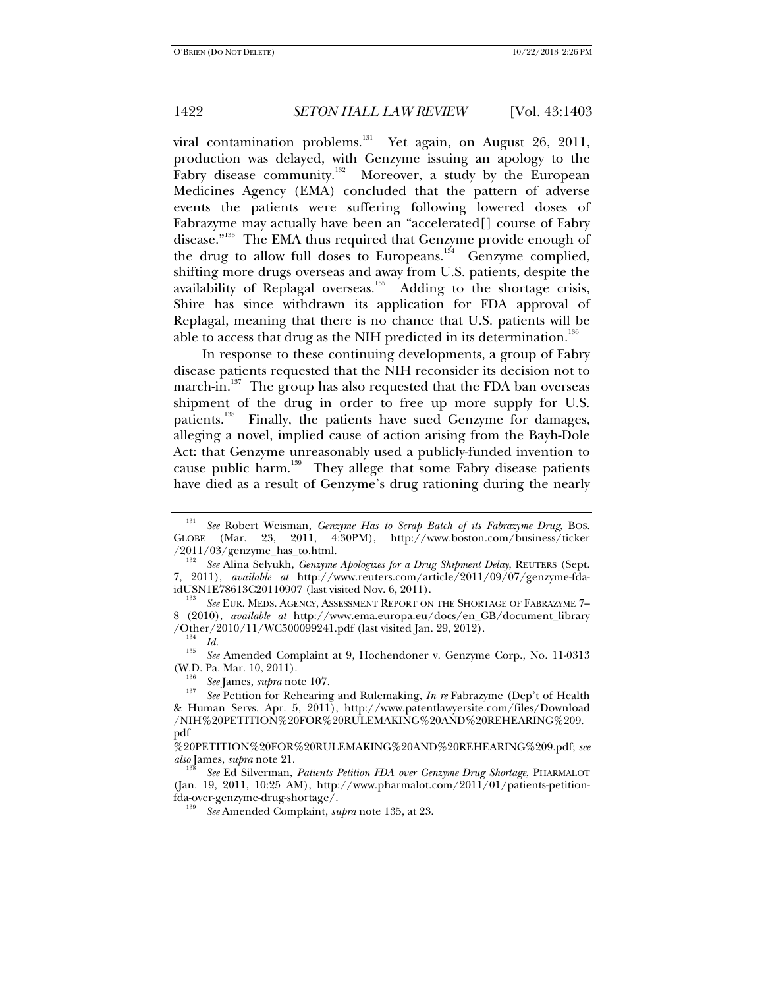viral contamination problems. $^{131}$  Yet again, on August 26, 2011, production was delayed, with Genzyme issuing an apology to the Fabry disease community.<sup>132</sup> Moreover, a study by the European Medicines Agency (EMA) concluded that the pattern of adverse events the patients were suffering following lowered doses of Fabrazyme may actually have been an "accelerated[] course of Fabry disease."<sup>133</sup> The EMA thus required that Genzyme provide enough of the drug to allow full doses to Europeans.<sup>134</sup> Genzyme complied, shifting more drugs overseas and away from U.S. patients, despite the availability of Replagal overseas.<sup>135</sup> Adding to the shortage crisis, Shire has since withdrawn its application for FDA approval of Replagal, meaning that there is no chance that U.S. patients will be able to access that drug as the NIH predicted in its determination.<sup>136</sup>

In response to these continuing developments, a group of Fabry disease patients requested that the NIH reconsider its decision not to march-in.<sup>137</sup> The group has also requested that the FDA ban overseas shipment of the drug in order to free up more supply for U.S. patients.<sup>138</sup> Finally, the patients have sued Genzyme for damages, alleging a novel, implied cause of action arising from the Bayh-Dole Act: that Genzyme unreasonably used a publicly-funded invention to cause public harm.<sup>139</sup> They allege that some Fabry disease patients have died as a result of Genzyme's drug rationing during the nearly

<sup>131</sup> *See* Robert Weisman, *Genzyme Has to Scrap Batch of its Fabrazyme Drug*, BOS. GLOBE (Mar. 23, 2011, 4:30PM), http://www.boston.com/business/ticker  $/2011/03$ /genzyme\_has\_to.html.

*See* Alina Selyukh, *Genzyme Apologizes for a Drug Shipment Delay*, REUTERS (Sept. 7, 2011), *available at* http://www.reuters.com/article/2011/09/07/genzyme-fdaidUSN1E78613C20110907 (last visited Nov. 6, 2011). 133

 $^{133}$  See EUR. MEDS. AGENCY, ASSESSMENT REPORT ON THE SHORTAGE OF FABRAZYME  $7-$ 8 (2010), *available at* http://www.ema.europa.eu/docs/en\_GB/document\_library /Other/2010/11/WC500099241.pdf (last visited Jan. 29, 2012).<br><sup>134</sup> *Id.* 135 **Identified Allied Computer** Computer Computer Computer Computer Computer Computer Computer Computer Computer Computer Computer Computer Computer

*See* Amended Complaint at 9, Hochendoner v. Genzyme Corp., No. 11-0313 (W.D. Pa. Mar. 10, 2011). 136 *See* James, *supra* note 107. 137

*See* Petition for Rehearing and Rulemaking, *In re* Fabrazyme (Dep't of Health & Human Servs. Apr. 5, 2011), http://www.patentlawyersite.com/files/Download /NIH%20PETITION%20FOR%20RULEMAKING%20AND%20REHEARING%209. pdf

<sup>%20</sup>PETITION%20FOR%20RULEMAKING%20AND%20REHEARING%209.pdf; *see also* James, *supra* note 21. 138

*See* Ed Silverman, *Patients Petition FDA over Genzyme Drug Shortage*, PHARMALOT (Jan. 19, 2011, 10:25 AM), http://www.pharmalot.com/2011/01/patients-petitionfda-over-genzyme-drug-shortage/. 139

*See* Amended Complaint, *supra* note 135, at 23.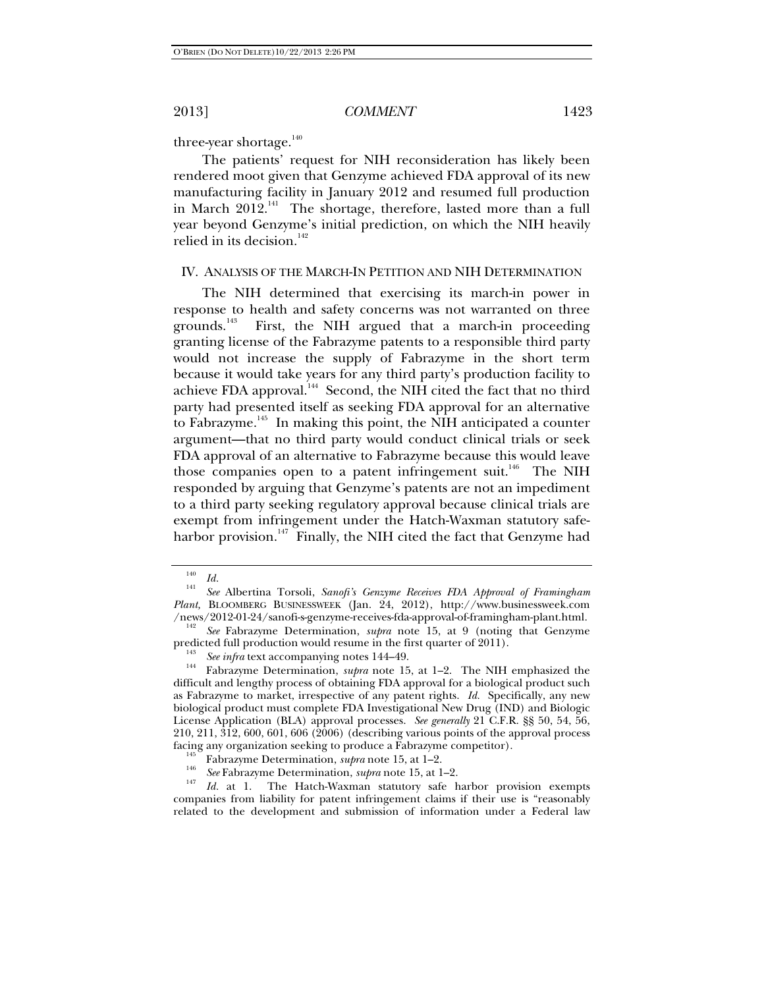three-year shortage.<sup>140</sup>

The patients' request for NIH reconsideration has likely been rendered moot given that Genzyme achieved FDA approval of its new manufacturing facility in January 2012 and resumed full production in March 2012.<sup>141</sup> The shortage, therefore, lasted more than a full year beyond Genzyme's initial prediction, on which the NIH heavily relied in its decision. $142$ 

#### IV. ANALYSIS OF THE MARCH-IN PETITION AND NIH DETERMINATION

The NIH determined that exercising its march-in power in response to health and safety concerns was not warranted on three grounds.<sup>143</sup> First, the NIH argued that a march-in proceeding granting license of the Fabrazyme patents to a responsible third party would not increase the supply of Fabrazyme in the short term because it would take years for any third party's production facility to achieve FDA approval.<sup>144</sup> Second, the NIH cited the fact that no third party had presented itself as seeking FDA approval for an alternative to Fabrazyme.<sup>145</sup> In making this point, the NIH anticipated a counter argument—that no third party would conduct clinical trials or seek FDA approval of an alternative to Fabrazyme because this would leave those companies open to a patent infringement suit.<sup>146</sup> The NIH responded by arguing that Genzyme's patents are not an impediment to a third party seeking regulatory approval because clinical trials are exempt from infringement under the Hatch-Waxman statutory safeharbor provision.<sup>147</sup> Finally, the NIH cited the fact that Genzyme had

<sup>140</sup>*Id.* <sup>141</sup>*See* Albertina Torsoli, *Sanofi's Genzyme Receives FDA Approval of Framingham*  Plant, BLOOMBERG BUSINESSWEEK (Jan. 24, 2012), http://www.businessweek.com /news/2012-01-24/sanofi-s-genzyme-receives-fda-approval-of-framingham-plant.html. 142 *See* Fabrazyme Determination, *supra* note 15, at 9 (noting that Genzyme

predicted full production would resume in the first quarter of 2011).<br><sup>143</sup> *See infra* text accompanying notes 144–49.<br><sup>144</sup> Fabrazyme Determination, *supra* note 15, at 1–2. The NIH emphasized the

difficult and lengthy process of obtaining FDA approval for a biological product such as Fabrazyme to market, irrespective of any patent rights. *Id.* Specifically, any new biological product must complete FDA Investigational New Drug (IND) and Biologic License Application (BLA) approval processes. *See generally* 21 C.F.R. §§ 50, 54, 56, 210, 211, 312, 600, 601, 606 (2006) (describing various points of the approval process facing any organization seeking to produce a Fabrazyme competitor).<br><sup>145</sup> Fabrazyme Determination, *supra* note 15, at 1–2.<br><sup>146</sup> *See* Fabrazyme Determination, *supra* note 15, at 1–2.

<sup>&</sup>lt;sup>147</sup> *Id.* at 1. The Hatch-Waxman statutory safe harbor provision exempts companies from liability for patent infringement claims if their use is "reasonably related to the development and submission of information under a Federal law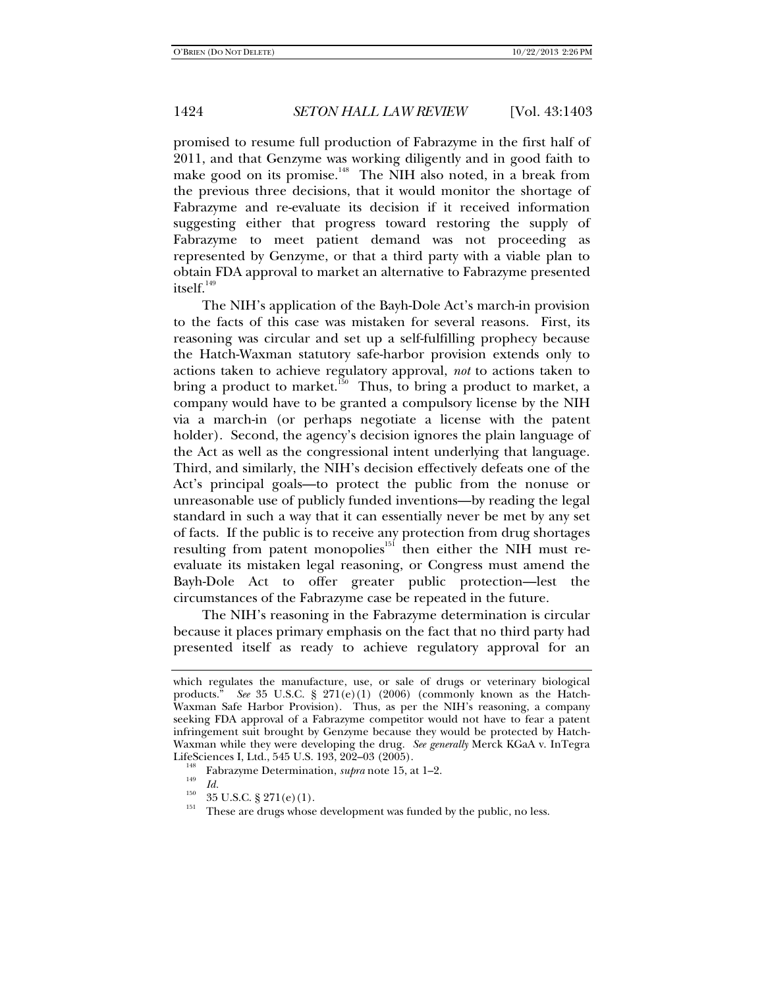promised to resume full production of Fabrazyme in the first half of 2011, and that Genzyme was working diligently and in good faith to make good on its promise.<sup>148</sup> The NIH also noted, in a break from the previous three decisions, that it would monitor the shortage of Fabrazyme and re-evaluate its decision if it received information suggesting either that progress toward restoring the supply of Fabrazyme to meet patient demand was not proceeding as represented by Genzyme, or that a third party with a viable plan to obtain FDA approval to market an alternative to Fabrazyme presented itself.<sup>149</sup>

The NIH's application of the Bayh-Dole Act's march-in provision to the facts of this case was mistaken for several reasons. First, its reasoning was circular and set up a self-fulfilling prophecy because the Hatch-Waxman statutory safe-harbor provision extends only to actions taken to achieve regulatory approval, *not* to actions taken to bring a product to market.<sup>150</sup> Thus, to bring a product to market, a company would have to be granted a compulsory license by the NIH via a march-in (or perhaps negotiate a license with the patent holder). Second, the agency's decision ignores the plain language of the Act as well as the congressional intent underlying that language. Third, and similarly, the NIH's decision effectively defeats one of the Act's principal goals—to protect the public from the nonuse or unreasonable use of publicly funded inventions—by reading the legal standard in such a way that it can essentially never be met by any set of facts. If the public is to receive any protection from drug shortages resulting from patent monopolies<sup>151</sup> then either the NIH must reevaluate its mistaken legal reasoning, or Congress must amend the Bayh-Dole Act to offer greater public protection—lest the circumstances of the Fabrazyme case be repeated in the future.

The NIH's reasoning in the Fabrazyme determination is circular because it places primary emphasis on the fact that no third party had presented itself as ready to achieve regulatory approval for an

which regulates the manufacture, use, or sale of drugs or veterinary biological products." See 35 U.S.C. § 271(e)(1) (2006) (commonly known as the Hatch-See 35 U.S.C. § 271(e)(1) (2006) (commonly known as the Hatch-Waxman Safe Harbor Provision). Thus, as per the NIH's reasoning, a company seeking FDA approval of a Fabrazyme competitor would not have to fear a patent infringement suit brought by Genzyme because they would be protected by Hatch-Waxman while they were developing the drug. *See generally* Merck KGaA v. InTegra

LifeSciences I, Ltd., 545 U.S. 193, 202–03 (2005).<br><sup>148</sup> Fabrazyme Determination, *supra* note 15, at 1–2.<br>*1*49 *Id.* 

<sup>&</sup>lt;sup>150</sup> 35 U.S.C. § 271(e)(1). These are drugs whose development was funded by the public, no less.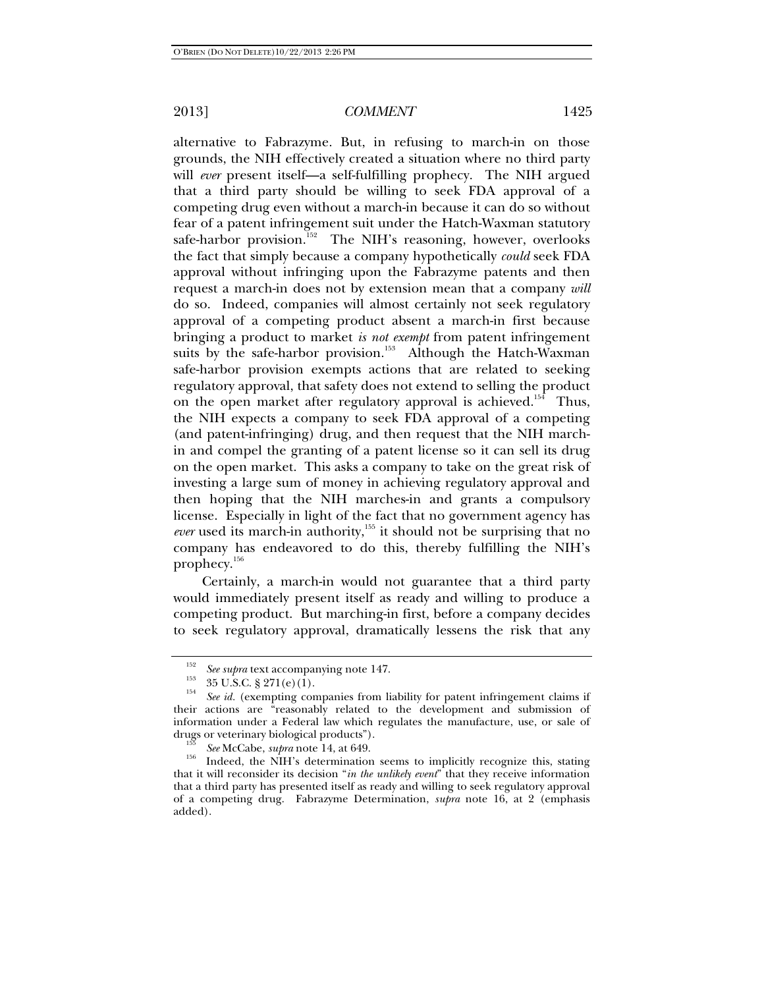alternative to Fabrazyme. But, in refusing to march-in on those grounds, the NIH effectively created a situation where no third party will *ever* present itself—a self-fulfilling prophecy. The NIH argued that a third party should be willing to seek FDA approval of a competing drug even without a march-in because it can do so without fear of a patent infringement suit under the Hatch-Waxman statutory safe-harbor provision.<sup>152</sup> The NIH's reasoning, however, overlooks the fact that simply because a company hypothetically *could* seek FDA approval without infringing upon the Fabrazyme patents and then request a march-in does not by extension mean that a company *will* do so. Indeed, companies will almost certainly not seek regulatory approval of a competing product absent a march-in first because bringing a product to market *is not exempt* from patent infringement suits by the safe-harbor provision.<sup>153</sup> Although the Hatch-Waxman safe-harbor provision exempts actions that are related to seeking regulatory approval, that safety does not extend to selling the product on the open market after regulatory approval is achieved.<sup>154</sup> Thus, the NIH expects a company to seek FDA approval of a competing (and patent-infringing) drug, and then request that the NIH marchin and compel the granting of a patent license so it can sell its drug on the open market. This asks a company to take on the great risk of investing a large sum of money in achieving regulatory approval and then hoping that the NIH marches-in and grants a compulsory license. Especially in light of the fact that no government agency has *ever* used its march-in authority,<sup>155</sup> it should not be surprising that no company has endeavored to do this, thereby fulfilling the NIH's prophecy.<sup>156</sup>

Certainly, a march-in would not guarantee that a third party would immediately present itself as ready and willing to produce a competing product. But marching-in first, before a company decides to seek regulatory approval, dramatically lessens the risk that any

<sup>&</sup>lt;sup>152</sup> See *supra* text accompanying note 147.<br><sup>153</sup> 35 U.S.C. § 271(e)(1).<br><sup>154</sup> See id. (exempting companies from liability for patent infringement claims if their actions are "reasonably related to the development and submission of information under a Federal law which regulates the manufacture, use, or sale of drugs or veterinary biological products").<br>
See McCabe, *supra* note 14, at 649.

<sup>&</sup>lt;sup>156</sup> Indeed, the NIH's determination seems to implicitly recognize this, stating that it will reconsider its decision "*in the unlikely event*" that they receive information that a third party has presented itself as ready and willing to seek regulatory approval of a competing drug. Fabrazyme Determination, *supra* note 16, at 2 (emphasis added).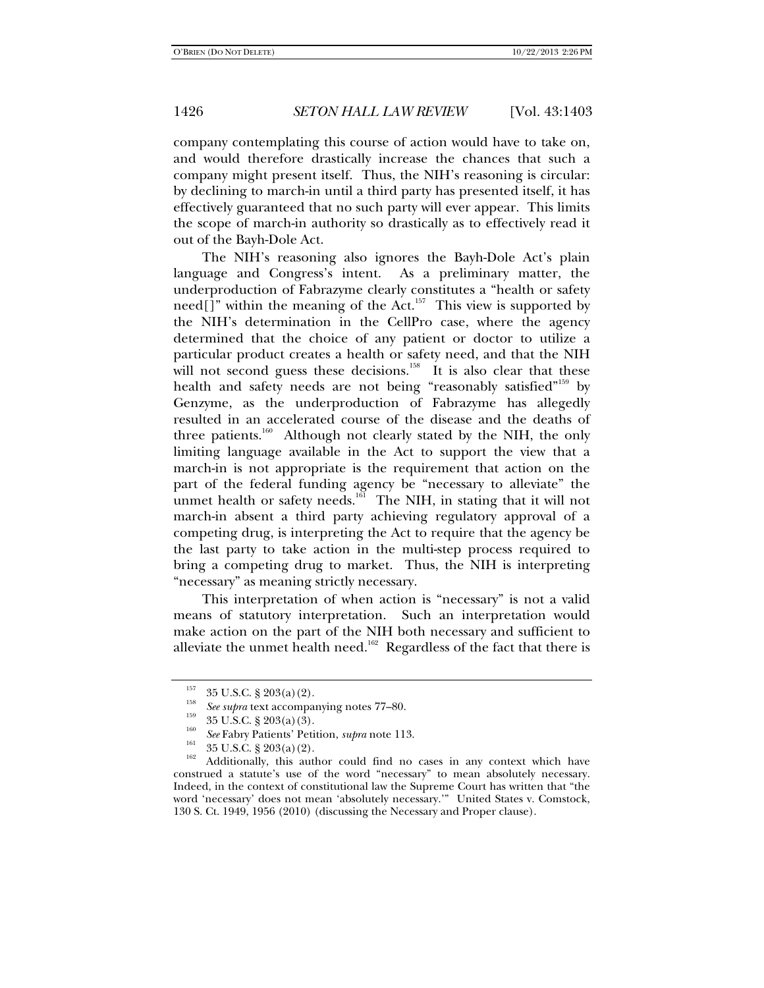company contemplating this course of action would have to take on, and would therefore drastically increase the chances that such a company might present itself. Thus, the NIH's reasoning is circular: by declining to march-in until a third party has presented itself, it has effectively guaranteed that no such party will ever appear. This limits the scope of march-in authority so drastically as to effectively read it out of the Bayh-Dole Act.

The NIH's reasoning also ignores the Bayh-Dole Act's plain language and Congress's intent. As a preliminary matter, the underproduction of Fabrazyme clearly constitutes a "health or safety need[]" within the meaning of the Act.<sup>157</sup> This view is supported by the NIH's determination in the CellPro case, where the agency determined that the choice of any patient or doctor to utilize a particular product creates a health or safety need, and that the NIH will not second guess these decisions.<sup>158</sup> It is also clear that these health and safety needs are not being "reasonably satisfied"<sup>159</sup> by Genzyme, as the underproduction of Fabrazyme has allegedly resulted in an accelerated course of the disease and the deaths of three patients.<sup>160</sup> Although not clearly stated by the NIH, the only limiting language available in the Act to support the view that a march-in is not appropriate is the requirement that action on the part of the federal funding agency be "necessary to alleviate" the unmet health or safety needs.<sup>161</sup> The NIH, in stating that it will not march-in absent a third party achieving regulatory approval of a competing drug, is interpreting the Act to require that the agency be the last party to take action in the multi-step process required to bring a competing drug to market. Thus, the NIH is interpreting "necessary" as meaning strictly necessary.

This interpretation of when action is "necessary" is not a valid means of statutory interpretation. Such an interpretation would make action on the part of the NIH both necessary and sufficient to alleviate the unmet health need.<sup>162</sup> Regardless of the fact that there is

<sup>&</sup>lt;sup>157</sup> 35 U.S.C. § 203(a)(2).<br><sup>158</sup> See supra text accompanying notes 77–80.

<sup>&</sup>lt;sup>159</sup> 35 U.S.C. § 203(a)(3).<br><sup>160</sup> *See* Fabry Patients' Petition, *supra* note 113.<br><sup>161</sup> 35 U.S.C. § 203(a)(2).<br>Additionally, this author could find no cases in any context which have construed a statute's use of the word "necessary" to mean absolutely necessary. Indeed, in the context of constitutional law the Supreme Court has written that "the word 'necessary' does not mean 'absolutely necessary.'" United States v. Comstock, 130 S. Ct. 1949, 1956 (2010) (discussing the Necessary and Proper clause).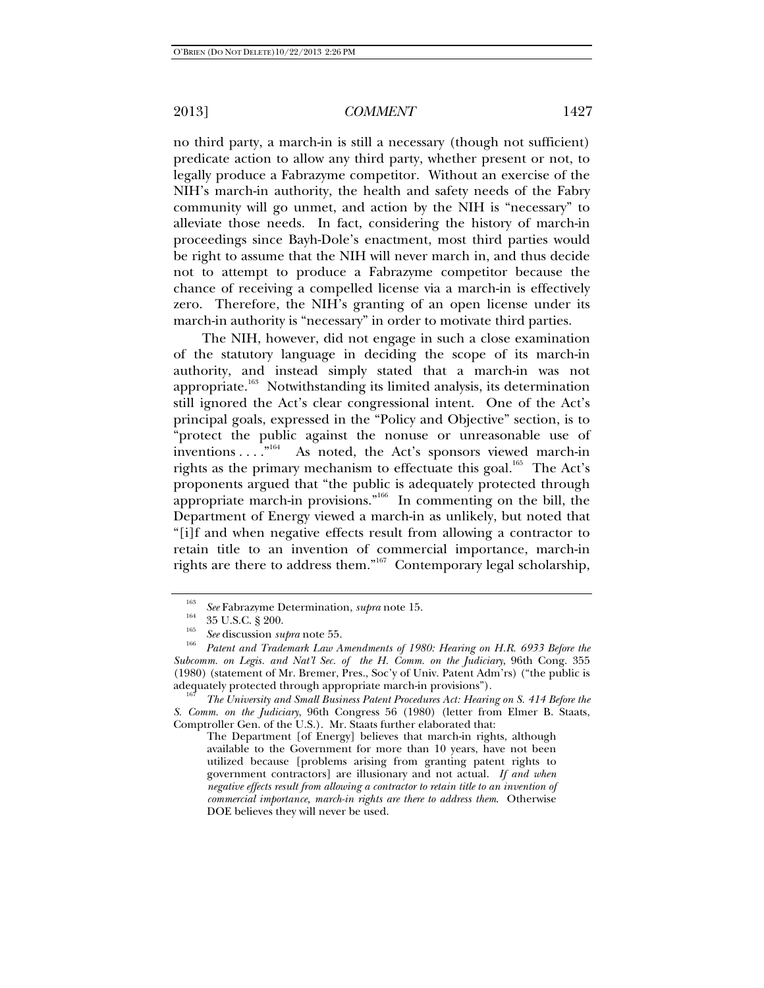no third party, a march-in is still a necessary (though not sufficient) predicate action to allow any third party, whether present or not, to legally produce a Fabrazyme competitor. Without an exercise of the NIH's march-in authority, the health and safety needs of the Fabry community will go unmet, and action by the NIH is "necessary" to alleviate those needs. In fact, considering the history of march-in proceedings since Bayh-Dole's enactment, most third parties would be right to assume that the NIH will never march in, and thus decide not to attempt to produce a Fabrazyme competitor because the chance of receiving a compelled license via a march-in is effectively zero. Therefore, the NIH's granting of an open license under its march-in authority is "necessary" in order to motivate third parties.

The NIH, however, did not engage in such a close examination of the statutory language in deciding the scope of its march-in authority, and instead simply stated that a march-in was not appropriate.<sup>163</sup> Notwithstanding its limited analysis, its determination still ignored the Act's clear congressional intent. One of the Act's principal goals, expressed in the "Policy and Objective" section, is to "protect the public against the nonuse or unreasonable use of inventions . . . . .<sup>"164</sup> As noted, the Act's sponsors viewed march-in rights as the primary mechanism to effectuate this goal.<sup>165</sup> The Act's proponents argued that "the public is adequately protected through appropriate march-in provisions."<sup>166</sup> In commenting on the bill, the Department of Energy viewed a march-in as unlikely, but noted that "[i]f and when negative effects result from allowing a contractor to retain title to an invention of commercial importance, march-in rights are there to address them."167 Contemporary legal scholarship,

<sup>163</sup> <sup>164</sup> *See* Fabrazyme Determination, *supra* note 15.<br><sup>165</sup> 35 U.S.C. § 200.<br><sup>165</sup> *See* discussion *supra* note 55.

*Patent and Trademark Law Amendments of 1980: Hearing on H.R. 6933 Before the Subcomm. on Legis. and Nat'l Sec. of the H. Comm. on the Judiciary*, 96th Cong. 355 (1980) (statement of Mr. Bremer, Pres., Soc'y of Univ. Patent Adm'rs) ("the public is adequately protected through appropriate march-in provisions").

*The University and Small Business Patent Procedures Act: Hearing on S. 414 Before the S. Comm. on the Judiciary*, 96th Congress 56 (1980) (letter from Elmer B. Staats, Comptroller Gen. of the U.S.). Mr. Staats further elaborated that:

The Department [of Energy] believes that march-in rights, although available to the Government for more than 10 years, have not been utilized because [problems arising from granting patent rights to government contractors] are illusionary and not actual. *If and when negative effects result from allowing a contractor to retain title to an invention of commercial importance, march-in rights are there to address them*. Otherwise DOE believes they will never be used.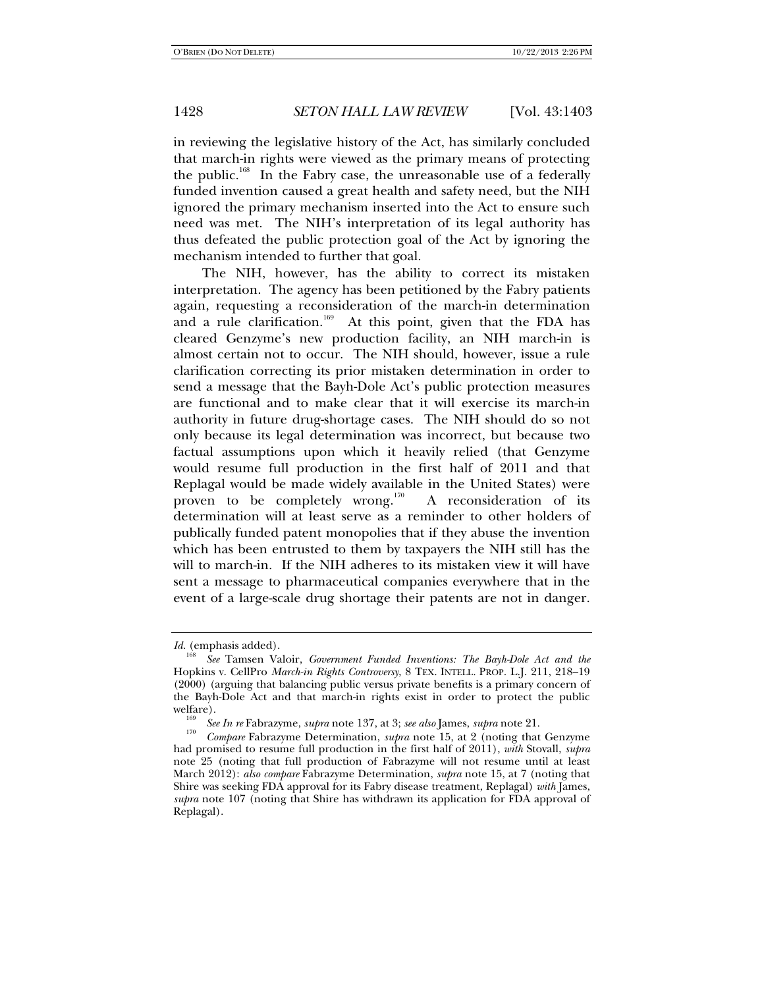in reviewing the legislative history of the Act, has similarly concluded that march-in rights were viewed as the primary means of protecting the public.<sup>168</sup> In the Fabry case, the unreasonable use of a federally funded invention caused a great health and safety need, but the NIH ignored the primary mechanism inserted into the Act to ensure such need was met. The NIH's interpretation of its legal authority has thus defeated the public protection goal of the Act by ignoring the mechanism intended to further that goal.

The NIH, however, has the ability to correct its mistaken interpretation. The agency has been petitioned by the Fabry patients again, requesting a reconsideration of the march-in determination and a rule clarification.<sup>169</sup> At this point, given that the FDA has cleared Genzyme's new production facility, an NIH march-in is almost certain not to occur. The NIH should, however, issue a rule clarification correcting its prior mistaken determination in order to send a message that the Bayh-Dole Act's public protection measures are functional and to make clear that it will exercise its march-in authority in future drug-shortage cases. The NIH should do so not only because its legal determination was incorrect, but because two factual assumptions upon which it heavily relied (that Genzyme would resume full production in the first half of 2011 and that Replagal would be made widely available in the United States) were proven to be completely wrong.<sup>170</sup> A reconsideration of its determination will at least serve as a reminder to other holders of publically funded patent monopolies that if they abuse the invention which has been entrusted to them by taxpayers the NIH still has the will to march-in. If the NIH adheres to its mistaken view it will have sent a message to pharmaceutical companies everywhere that in the event of a large-scale drug shortage their patents are not in danger.

*Id.* (emphasis added).

<sup>168</sup> *See* Tamsen Valoir, *Government Funded Inventions: The Bayh-Dole Act and the*  Hopkins v. CellPro *March-in Rights Controversy*, 8 TEX. INTELL. PROP. L.J. 211, 218–19 (2000) (arguing that balancing public versus private benefits is a primary concern of the Bayh-Dole Act and that march-in rights exist in order to protect the public welfare). 169 *See In re* Fabrazyme, *supra* note 137, at 3; *see also* James, *supra* note 21. 170

*Compare* Fabrazyme Determination, *supra* note 15, at 2 (noting that Genzyme had promised to resume full production in the first half of 2011), *with* Stovall, *supra* note 25 (noting that full production of Fabrazyme will not resume until at least March 2012): *also compare* Fabrazyme Determination, *supra* note 15, at 7 (noting that Shire was seeking FDA approval for its Fabry disease treatment, Replagal) *with* James, *supra* note 107 (noting that Shire has withdrawn its application for FDA approval of Replagal).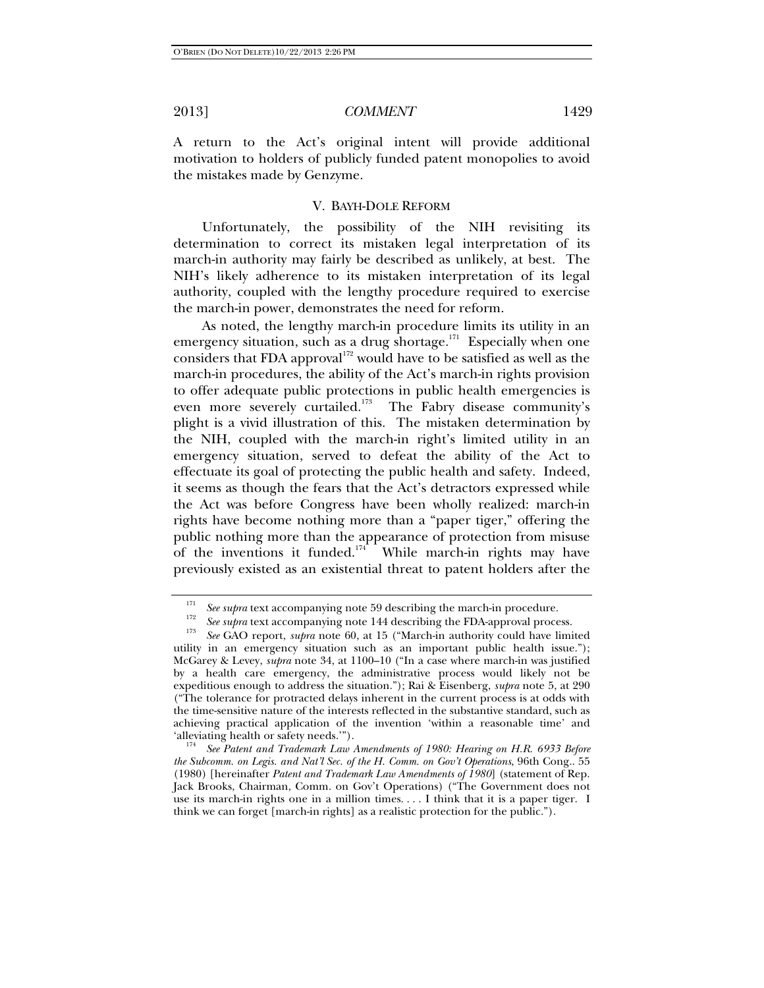A return to the Act's original intent will provide additional motivation to holders of publicly funded patent monopolies to avoid the mistakes made by Genzyme.

### V. BAYH-DOLE REFORM

Unfortunately, the possibility of the NIH revisiting its determination to correct its mistaken legal interpretation of its march-in authority may fairly be described as unlikely, at best. The NIH's likely adherence to its mistaken interpretation of its legal authority, coupled with the lengthy procedure required to exercise the march-in power, demonstrates the need for reform.

As noted, the lengthy march-in procedure limits its utility in an emergency situation, such as a drug shortage. $171$  Especially when one considers that FDA approval $172$  would have to be satisfied as well as the march-in procedures, the ability of the Act's march-in rights provision to offer adequate public protections in public health emergencies is even more severely curtailed.<sup>173</sup> The Fabry disease community's plight is a vivid illustration of this. The mistaken determination by the NIH, coupled with the march-in right's limited utility in an emergency situation, served to defeat the ability of the Act to effectuate its goal of protecting the public health and safety. Indeed, it seems as though the fears that the Act's detractors expressed while the Act was before Congress have been wholly realized: march-in rights have become nothing more than a "paper tiger," offering the public nothing more than the appearance of protection from misuse of the inventions it funded.<sup>174</sup> While march-in rights may have previously existed as an existential threat to patent holders after the

'alleviating health or safety needs.'"). 174 *See Patent and Trademark Law Amendments of 1980: Hearing on H.R. 6933 Before the Subcomm. on Legis. and Nat'l Sec. of the H. Comm. on Gov't Operations*, 96th Cong.. 55 (1980) [hereinafter *Patent and Trademark Law Amendments of 1980*] (statement of Rep. Jack Brooks, Chairman, Comm. on Gov't Operations) ("The Government does not use its march-in rights one in a million times. . . . I think that it is a paper tiger. I think we can forget [march-in rights] as a realistic protection for the public.").

<sup>&</sup>lt;sup>171</sup> See supra text accompanying note 59 describing the march-in procedure.

<sup>&</sup>lt;sup>1/2</sup> See supra text accompanying note 144 describing the FDA-approval process.<br><sup>173</sup> See GAO gapant, subus pata 60, at 15. ("Manak in authority gauld have limit

*See* GAO report, *supra* note 60, at 15 ("March-in authority could have limited utility in an emergency situation such as an important public health issue."); McGarey & Levey, *supra* note 34, at 1100–10 ("In a case where march-in was justified by a health care emergency, the administrative process would likely not be expeditious enough to address the situation."); Rai & Eisenberg, *supra* note 5, at 290 ("The tolerance for protracted delays inherent in the current process is at odds with the time-sensitive nature of the interests reflected in the substantive standard, such as achieving practical application of the invention 'within a reasonable time' and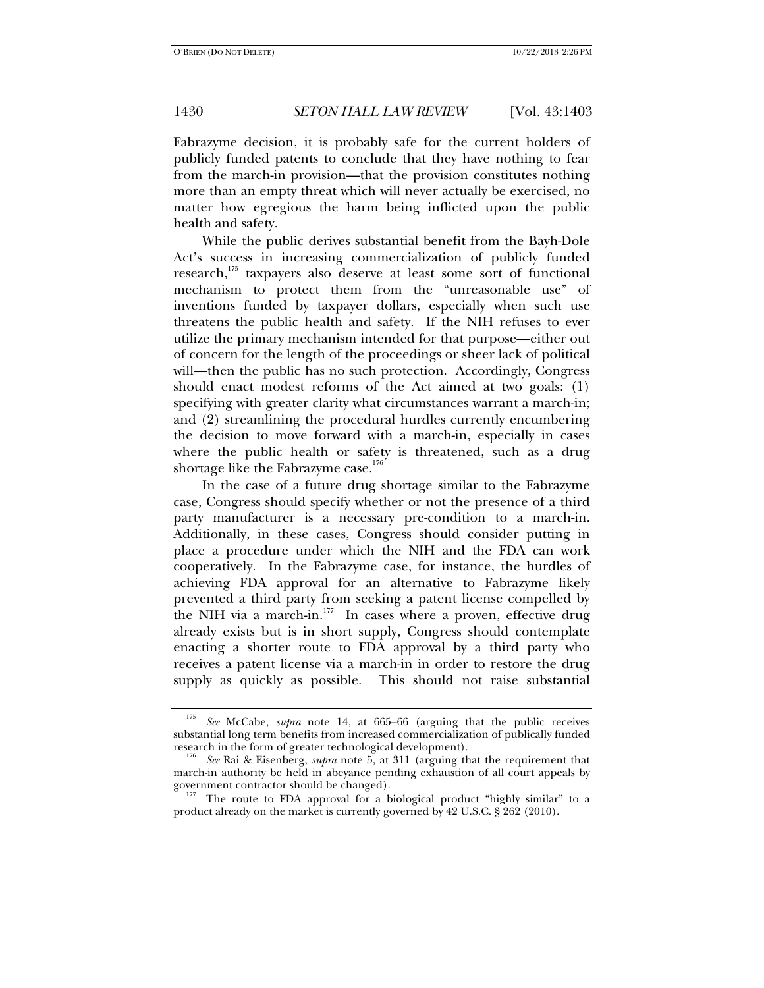Fabrazyme decision, it is probably safe for the current holders of publicly funded patents to conclude that they have nothing to fear from the march-in provision—that the provision constitutes nothing more than an empty threat which will never actually be exercised, no matter how egregious the harm being inflicted upon the public health and safety.

While the public derives substantial benefit from the Bayh-Dole Act's success in increasing commercialization of publicly funded research, $175$  taxpayers also deserve at least some sort of functional mechanism to protect them from the "unreasonable use" of inventions funded by taxpayer dollars, especially when such use threatens the public health and safety. If the NIH refuses to ever utilize the primary mechanism intended for that purpose—either out of concern for the length of the proceedings or sheer lack of political will—then the public has no such protection. Accordingly, Congress should enact modest reforms of the Act aimed at two goals: (1) specifying with greater clarity what circumstances warrant a march-in; and (2) streamlining the procedural hurdles currently encumbering the decision to move forward with a march-in, especially in cases where the public health or safety is threatened, such as a drug shortage like the Fabrazyme case.<sup>176</sup>

In the case of a future drug shortage similar to the Fabrazyme case, Congress should specify whether or not the presence of a third party manufacturer is a necessary pre-condition to a march-in. Additionally, in these cases, Congress should consider putting in place a procedure under which the NIH and the FDA can work cooperatively. In the Fabrazyme case, for instance, the hurdles of achieving FDA approval for an alternative to Fabrazyme likely prevented a third party from seeking a patent license compelled by the NIH via a march-in. $177$  In cases where a proven, effective drug already exists but is in short supply, Congress should contemplate enacting a shorter route to FDA approval by a third party who receives a patent license via a march-in in order to restore the drug supply as quickly as possible. This should not raise substantial

<sup>175</sup> *See* McCabe, *supra* note 14, at 665–66 (arguing that the public receives substantial long term benefits from increased commercialization of publically funded

See Rai & Eisenberg, *supra* note 5, at 311 (arguing that the requirement that march-in authority be held in abeyance pending exhaustion of all court appeals by

The route to FDA approval for a biological product "highly similar" to a product already on the market is currently governed by 42 U.S.C. § 262 (2010).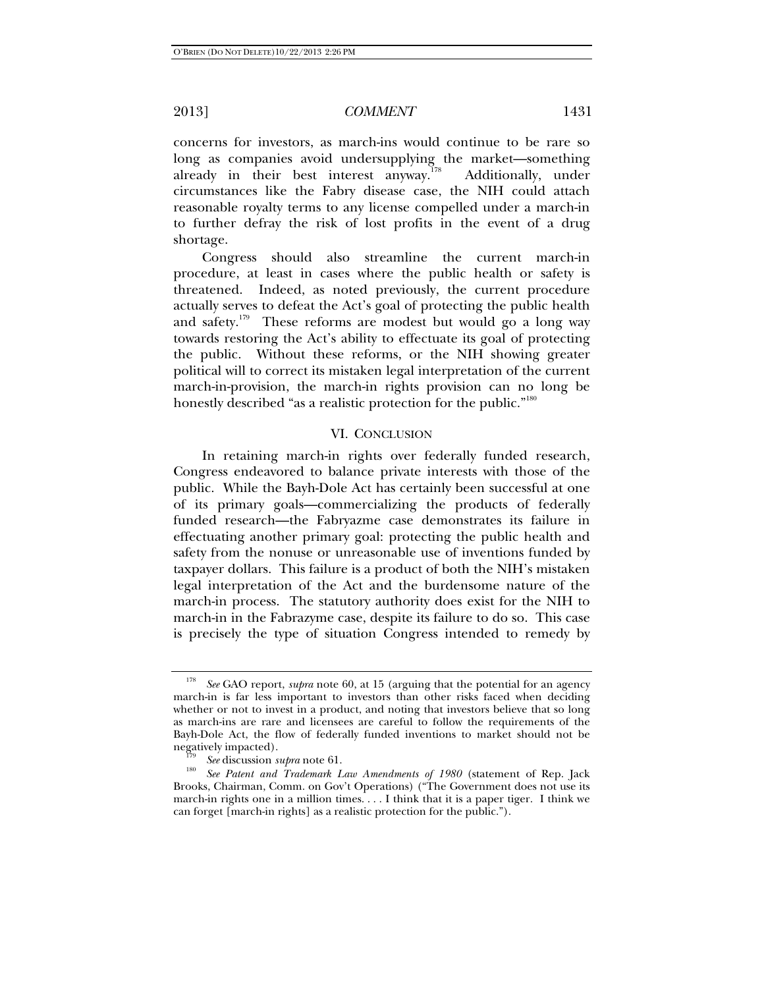concerns for investors, as march-ins would continue to be rare so long as companies avoid undersupplying the market—something already in their best interest anyway.<sup>178</sup> Additionally, under circumstances like the Fabry disease case, the NIH could attach reasonable royalty terms to any license compelled under a march-in to further defray the risk of lost profits in the event of a drug shortage.

Congress should also streamline the current march-in procedure, at least in cases where the public health or safety is threatened. Indeed, as noted previously, the current procedure actually serves to defeat the Act's goal of protecting the public health and safety.179 These reforms are modest but would go a long way towards restoring the Act's ability to effectuate its goal of protecting the public. Without these reforms, or the NIH showing greater political will to correct its mistaken legal interpretation of the current march-in-provision, the march-in rights provision can no long be honestly described "as a realistic protection for the public."<sup>180</sup>

#### VI. CONCLUSION

In retaining march-in rights over federally funded research, Congress endeavored to balance private interests with those of the public. While the Bayh-Dole Act has certainly been successful at one of its primary goals—commercializing the products of federally funded research—the Fabryazme case demonstrates its failure in effectuating another primary goal: protecting the public health and safety from the nonuse or unreasonable use of inventions funded by taxpayer dollars. This failure is a product of both the NIH's mistaken legal interpretation of the Act and the burdensome nature of the march-in process. The statutory authority does exist for the NIH to march-in in the Fabrazyme case, despite its failure to do so. This case is precisely the type of situation Congress intended to remedy by

<sup>&</sup>lt;sup>178</sup> *See* GAO report, *supra* note 60, at 15 (arguing that the potential for an agency march-in is far less important to investors than other risks faced when deciding whether or not to invest in a product, and noting that investors believe that so long as march-ins are rare and licensees are careful to follow the requirements of the Bayh-Dole Act, the flow of federally funded inventions to market should not be

negatively *See* discussion *supra* note 61.<br><sup>180</sup> *See Patent and Trademark Law Amendments of 1980* (statement of Rep. Jack Brooks, Chairman, Comm. on Gov't Operations) ("The Government does not use its march-in rights one in a million times. . . . I think that it is a paper tiger. I think we can forget [march-in rights] as a realistic protection for the public.").